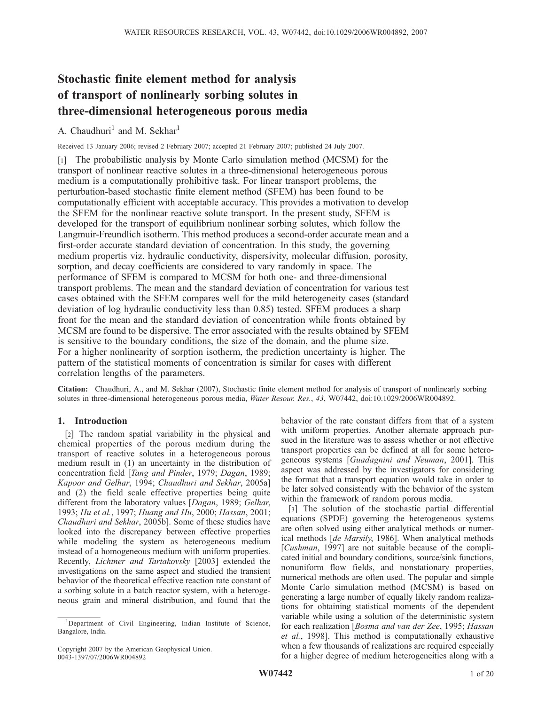# Stochastic finite element method for analysis of transport of nonlinearly sorbing solutes in three-dimensional heterogeneous porous media

# A. Chaudhuri<sup>1</sup> and M. Sekhar<sup>1</sup>

Received 13 January 2006; revised 2 February 2007; accepted 21 February 2007; published 24 July 2007.

[1] The probabilistic analysis by Monte Carlo simulation method (MCSM) for the transport of nonlinear reactive solutes in a three-dimensional heterogeneous porous medium is a computationally prohibitive task. For linear transport problems, the perturbation-based stochastic finite element method (SFEM) has been found to be computationally efficient with acceptable accuracy. This provides a motivation to develop the SFEM for the nonlinear reactive solute transport. In the present study, SFEM is developed for the transport of equilibrium nonlinear sorbing solutes, which follow the Langmuir-Freundlich isotherm. This method produces a second-order accurate mean and a first-order accurate standard deviation of concentration. In this study, the governing medium propertis viz. hydraulic conductivity, dispersivity, molecular diffusion, porosity, sorption, and decay coefficients are considered to vary randomly in space. The performance of SFEM is compared to MCSM for both one- and three-dimensional transport problems. The mean and the standard deviation of concentration for various test cases obtained with the SFEM compares well for the mild heterogeneity cases (standard deviation of log hydraulic conductivity less than 0.85) tested. SFEM produces a sharp front for the mean and the standard deviation of concentration while fronts obtained by MCSM are found to be dispersive. The error associated with the results obtained by SFEM is sensitive to the boundary conditions, the size of the domain, and the plume size. For a higher nonlinearity of sorption isotherm, the prediction uncertainty is higher. The pattern of the statistical moments of concentration is similar for cases with different correlation lengths of the parameters.

Citation: Chaudhuri, A., and M. Sekhar (2007), Stochastic finite element method for analysis of transport of nonlinearly sorbing solutes in three-dimensional heterogeneous porous media, *Water Resour. Res.*, *43*, W07442, doi:10.1029/2006WR004892.

# 1. Introduction

[2] The random spatial variability in the physical and chemical properties of the porous medium during the transport of reactive solutes in a heterogeneous porous medium result in (1) an uncertainty in the distribution of concentration field [*Tang and Pinder*, 1979; *Dagan*, 1989; *Kapoor and Gelhar*, 1994; *Chaudhuri and Sekhar*, 2005a] and (2) the field scale effective properties being quite different from the laboratory values [*Dagan*, 1989; *Gelhar*, 1993; *Hu et al.*, 1997; *Huang and Hu*, 2000; *Hassan*, 2001; *Chaudhuri and Sekhar*, 2005b]. Some of these studies have looked into the discrepancy between effective properties while modeling the system as heterogeneous medium instead of a homogeneous medium with uniform properties. Recently, *Lichtner and Tartakovsky* [2003] extended the investigations on the same aspect and studied the transient behavior of the theoretical effective reaction rate constant of a sorbing solute in a batch reactor system, with a heterogeneous grain and mineral distribution, and found that the

Copyright 2007 by the American Geophysical Union. 0043-1397/07/2006WR004892

behavior of the rate constant differs from that of a system with uniform properties. Another alternate approach pursued in the literature was to assess whether or not effective transport properties can be defined at all for some heterogeneous systems [*Guadagnini and Neuman*, 2001]. This aspect was addressed by the investigators for considering the format that a transport equation would take in order to be later solved consistently with the behavior of the system within the framework of random porous media.

[3] The solution of the stochastic partial differential equations (SPDE) governing the heterogeneous systems are often solved using either analytical methods or numerical methods [*de Marsily*, 1986]. When analytical methods [*Cushman*, 1997] are not suitable because of the complicated initial and boundary conditions, source/sink functions, nonuniform flow fields, and nonstationary properties, numerical methods are often used. The popular and simple Monte Carlo simulation method (MCSM) is based on generating a large number of equally likely random realizations for obtaining statistical moments of the dependent variable while using a solution of the deterministic system for each realization [*Bosma and van der Zee*, 1995; *Hassan et al.*, 1998]. This method is computationally exhaustive when a few thousands of realizations are required especially for a higher degree of medium heterogeneities along with a

<sup>&</sup>lt;sup>1</sup>Department of Civil Engineering, Indian Institute of Science, Bangalore, India.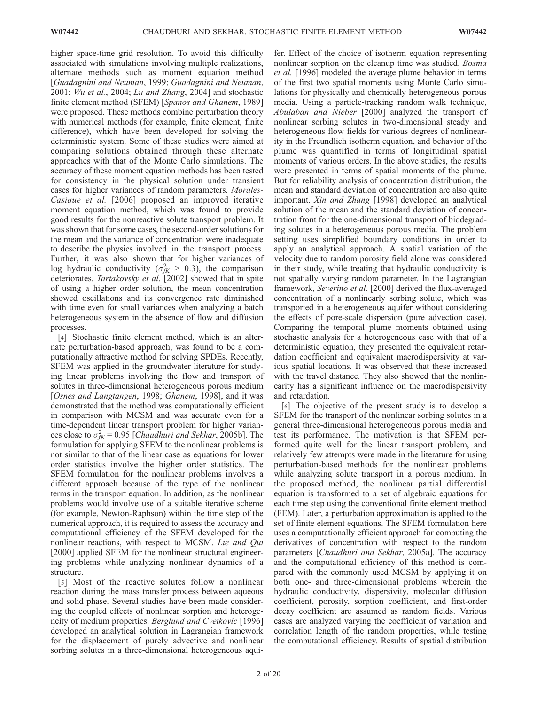higher space-time grid resolution. To avoid this difficulty associated with simulations involving multiple realizations, alternate methods such as moment equation method [*Guadagnini and Neuman*, 1999; *Guadagnini and Neuman*, 2001; *Wu et al.*, 2004; *Lu and Zhang*, 2004] and stochastic finite element method (SFEM) [*Spanos and Ghanem*, 1989] were proposed. These methods combine perturbation theory with numerical methods (for example, finite element, finite difference), which have been developed for solving the deterministic system. Some of these studies were aimed at comparing solutions obtained through these alternate approaches with that of the Monte Carlo simulations. The accuracy of these moment equation methods has been tested for consistency in the physical solution under transient cases for higher variances of random parameters. *Morales-Casique et al.* [2006] proposed an improved iterative moment equation method, which was found to provide good results for the nonreactive solute transport problem. It was shown that for some cases, the second-order solutions for the mean and the variance of concentration were inadequate to describe the physics involved in the transport process. Further, it was also shown that for higher variances of log hydraulic conductivity ( $\sigma_{fK}^2 > 0.3$ ), the comparison deteriorates. *Tartakovsky et al*. [2002] showed that in spite of using a higher order solution, the mean concentration showed oscillations and its convergence rate diminished with time even for small variances when analyzing a batch heterogeneous system in the absence of flow and diffusion processes.

[4] Stochastic finite element method, which is an alternate perturbation-based approach, was found to be a computationally attractive method for solving SPDEs. Recently, SFEM was applied in the groundwater literature for studying linear problems involving the flow and transport of solutes in three-dimensional heterogeneous porous medium [*Osnes and Langtangen*, 1998; *Ghanem*, 1998], and it was demonstrated that the method was computationally efficient in comparison with MCSM and was accurate even for a time-dependent linear transport problem for higher variances close to  $\sigma_{fK}^2 = 0.95$  [*Chaudhuri and Sekhar*, 2005b]. The formulation for applying SFEM to the nonlinear problems is not similar to that of the linear case as equations for lower order statistics involve the higher order statistics. The SFEM formulation for the nonlinear problems involves a different approach because of the type of the nonlinear terms in the transport equation. In addition, as the nonlinear problems would involve use of a suitable iterative scheme (for example, Newton-Raphson) within the time step of the numerical approach, it is required to assess the accuracy and computational efficiency of the SFEM developed for the nonlinear reactions, with respect to MCSM. *Lie and Qui* [2000] applied SFEM for the nonlinear structural engineering problems while analyzing nonlinear dynamics of a structure.

[5] Most of the reactive solutes follow a nonlinear reaction during the mass transfer process between aqueous and solid phase. Several studies have been made considering the coupled effects of nonlinear sorption and heterogeneity of medium properties. *Berglund and Cvetkovic* [1996] developed an analytical solution in Lagrangian framework for the displacement of purely advective and nonlinear sorbing solutes in a three-dimensional heterogeneous aqui-

fer. Effect of the choice of isotherm equation representing nonlinear sorption on the cleanup time was studied. *Bosma et al.* [1996] modeled the average plume behavior in terms of the first two spatial moments using Monte Carlo simulations for physically and chemically heterogeneous porous media. Using a particle-tracking random walk technique, *Abulaban and Nieber* [2000] analyzed the transport of nonlinear sorbing solutes in two-dimensional steady and heterogeneous flow fields for various degrees of nonlinearity in the Freundlich isotherm equation, and behavior of the plume was quantified in terms of longitudinal spatial moments of various orders. In the above studies, the results were presented in terms of spatial moments of the plume. But for reliability analysis of concentration distribution, the mean and standard deviation of concentration are also quite important. *Xin and Zhang* [1998] developed an analytical solution of the mean and the standard deviation of concentration front for the one-dimensional transport of biodegrading solutes in a heterogeneous porous media. The problem setting uses simplified boundary conditions in order to apply an analytical approach. A spatial variation of the velocity due to random porosity field alone was considered in their study, while treating that hydraulic conductivity is not spatially varying random parameter. In the Lagrangian framework, *Severino et al.* [2000] derived the flux-averaged concentration of a nonlinearly sorbing solute, which was transported in a heterogeneous aquifer without considering the effects of pore-scale dispersion (pure advection case). Comparing the temporal plume moments obtained using stochastic analysis for a heterogeneous case with that of a deterministic equation, they presented the equivalent retardation coefficient and equivalent macrodispersivity at various spatial locations. It was observed that these increased with the travel distance. They also showed that the nonlinearity has a significant influence on the macrodispersivity and retardation.

[6] The objective of the present study is to develop a SFEM for the transport of the nonlinear sorbing solutes in a general three-dimensional heterogeneous porous media and test its performance. The motivation is that SFEM performed quite well for the linear transport problem, and relatively few attempts were made in the literature for using perturbation-based methods for the nonlinear problems while analyzing solute transport in a porous medium. In the proposed method, the nonlinear partial differential equation is transformed to a set of algebraic equations for each time step using the conventional finite element method (FEM). Later, a perturbation approximation is applied to the set of finite element equations. The SFEM formulation here uses a computationally efficient approach for computing the derivatives of concentration with respect to the random parameters [*Chaudhuri and Sekhar*, 2005a]. The accuracy and the computational efficiency of this method is compared with the commonly used MCSM by applying it on both one- and three-dimensional problems wherein the hydraulic conductivity, dispersivity, molecular diffusion coefficient, porosity, sorption coefficient, and first-order decay coefficient are assumed as random fields. Various cases are analyzed varying the coefficient of variation and correlation length of the random properties, while testing the computational efficiency. Results of spatial distribution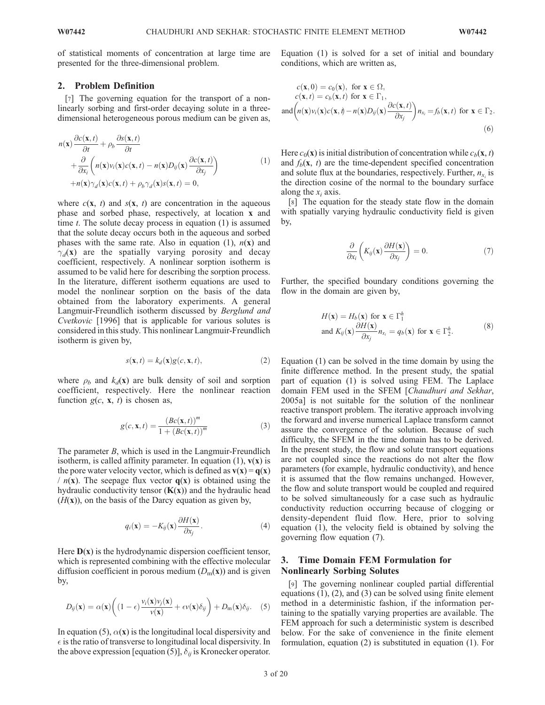of statistical moments of concentration at large time are presented for the three-dimensional problem.

#### 2. Problem Definition

[7] The governing equation for the transport of a nonlinearly sorbing and first-order decaying solute in a threedimensional heterogeneous porous medium can be given as,

$$
n(\mathbf{x}) \frac{\partial c(\mathbf{x},t)}{\partial t} + \rho_b \frac{\partial s(\mathbf{x},t)}{\partial t} + \frac{\partial}{\partial x_i} \left( n(\mathbf{x}) v_i(\mathbf{x}) c(\mathbf{x},t) - n(\mathbf{x}) D_{ij}(\mathbf{x}) \frac{\partial c(\mathbf{x},t)}{\partial x_j} \right) + n(\mathbf{x}) \gamma_d(\mathbf{x}) c(\mathbf{x},t) + \rho_b \gamma_d(\mathbf{x}) s(\mathbf{x},t) = 0,
$$
\n(1)

where  $c(\mathbf{x}, t)$  and  $s(\mathbf{x}, t)$  are concentration in the aqueous phase and sorbed phase, respectively, at location x and time *t*. The solute decay process in equation (1) is assumed that the solute decay occurs both in the aqueous and sorbed phases with the same rate. Also in equation (1),  $n(x)$  and  $\gamma_d(\mathbf{x})$  are the spatially varying porosity and decay coefficient, respectively. A nonlinear sorption isotherm is assumed to be valid here for describing the sorption process. In the literature, different isotherm equations are used to model the nonlinear sorption on the basis of the data obtained from the laboratory experiments. A general Langmuir-Freundlich isotherm discussed by *Berglund and Cvetkovic* [1996] that is applicable for various solutes is considered in this study. This nonlinear Langmuir-Freundlich isotherm is given by,

$$
s(\mathbf{x},t) = k_d(\mathbf{x})g(c,\mathbf{x},t),
$$
\n(2)

where  $\rho_b$  and  $k_d(\mathbf{x})$  are bulk density of soil and sorption coefficient, respectively. Here the nonlinear reaction function  $g(c, x, t)$  is chosen as,

$$
g(c, \mathbf{x}, t) = \frac{(Bc(\mathbf{x}, t))^m}{1 + (Bc(\mathbf{x}, t))^m}
$$
(3)

The parameter *B*, which is used in the Langmuir-Freundlich isotherm, is called affinity parameter. In equation (1),  $v(x)$  is the pore water velocity vector, which is defined as  $\mathbf{v}(\mathbf{x}) = \mathbf{q}(\mathbf{x})$ /  $n(x)$ . The seepage flux vector  $q(x)$  is obtained using the hydraulic conductivity tensor  $(K(x))$  and the hydraulic head  $(H(x))$ , on the basis of the Darcy equation as given by,

$$
q_i(\mathbf{x}) = -K_{ij}(\mathbf{x}) \frac{\partial H(\mathbf{x})}{\partial x_j}.
$$
 (4)

Here  $D(x)$  is the hydrodynamic dispersion coefficient tensor, which is represented combining with the effective molecular diffusion coefficient in porous medium  $(D_m(x))$  and is given by,

$$
D_{ij}(\mathbf{x}) = \alpha(\mathbf{x}) \bigg( (1 - \epsilon) \frac{\nu_i(\mathbf{x}) \nu_j(\mathbf{x})}{\nu(\mathbf{x})} + \epsilon \nu(\mathbf{x}) \delta_{ij} \bigg) + D_{\mathfrak{m}}(\mathbf{x}) \delta_{ij}.
$$
 (5)

In equation (5),  $\alpha(x)$  is the longitudinal local dispersivity and  $\epsilon$  is the ratio of transverse to longitudinal local dispersivity. In the above expression [equation (5)],  $\delta_{ii}$  is Kronecker operator. Equation (1) is solved for a set of initial and boundary conditions, which are written as,

$$
c(\mathbf{x}, 0) = c_0(\mathbf{x}), \text{ for } \mathbf{x} \in \Omega, c(\mathbf{x}, t) = c_b(\mathbf{x}, t) \text{ for } \mathbf{x} \in \Gamma_1, \n\text{and } \left(n(\mathbf{x})v_i(\mathbf{x})c(\mathbf{x}, t) - n(\mathbf{x})D_{ij}(\mathbf{x})\frac{\partial c(\mathbf{x}, t)}{\partial x_j}\right) n_{x_i} = f_b(\mathbf{x}, t) \text{ for } \mathbf{x} \in \Gamma_2.
$$
\n(6)

Here  $c_0$ (**x**) is initial distribution of concentration while  $c_b$ (**x**, *t*) and  $f_b$ ( $\bf{x}$ ,  $t$ ) are the time-dependent specified concentration and solute flux at the boundaries, respectively. Further,  $n_{x_i}$  is the direction cosine of the normal to the boundary surface along the *x<sup>i</sup>* axis.

[8] The equation for the steady state flow in the domain with spatially varying hydraulic conductivity field is given by,

$$
\frac{\partial}{\partial x_i} \left( K_{ij}(\mathbf{x}) \frac{\partial H(\mathbf{x})}{\partial x_j} \right) = 0. \tag{7}
$$

Further, the specified boundary conditions governing the flow in the domain are given by,

$$
H(\mathbf{x}) = H_b(\mathbf{x}) \text{ for } \mathbf{x} \in \Gamma_1^h
$$
  
and  $K_{ij}(\mathbf{x}) \frac{\partial H(\mathbf{x})}{\partial x_j} n_{x_i} = q_b(\mathbf{x}) \text{ for } \mathbf{x} \in \Gamma_2^h.$  (8)

Equation (1) can be solved in the time domain by using the finite difference method. In the present study, the spatial part of equation (1) is solved using FEM. The Laplace domain FEM used in the SFEM [*Chaudhuri and Sekhar*, 2005a] is not suitable for the solution of the nonlinear reactive transport problem. The iterative approach involving the forward and inverse numerical Laplace transform cannot assure the convergence of the solution. Because of such difficulty, the SFEM in the time domain has to be derived. In the present study, the flow and solute transport equations are not coupled since the reactions do not alter the flow parameters (for example, hydraulic conductivity), and hence it is assumed that the flow remains unchanged. However, the flow and solute transport would be coupled and required to be solved simultaneously for a case such as hydraulic conductivity reduction occurring because of clogging or density-dependent fluid flow. Here, prior to solving equation (1), the velocity field is obtained by solving the governing flow equation (7).

# 3. Time Domain FEM Formulation for Nonlinearly Sorbing Solutes

[9] The governing nonlinear coupled partial differential equations (1), (2), and (3) can be solved using finite element method in a deterministic fashion, if the information pertaining to the spatially varying properties are available. The FEM approach for such a deterministic system is described below. For the sake of convenience in the finite element formulation, equation (2) is substituted in equation (1). For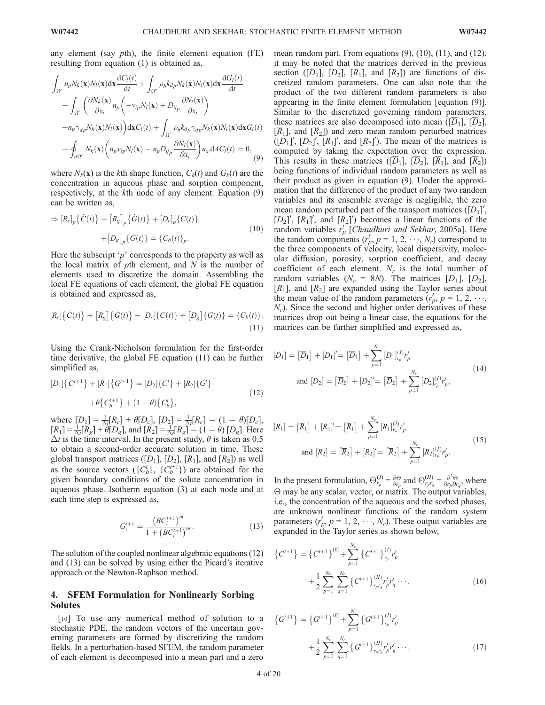any element (say *p*th), the finite element equation (FE) resulting from equation (1) is obtained as,

$$
\int_{\Omega^e} n_p N_k(\mathbf{x}) N_l(\mathbf{x}) d\mathbf{x} \frac{dC_l(t)}{dt} + \int_{\Omega^e} \rho_b k_{dp} N_k(\mathbf{x}) N_l(\mathbf{x}) d\mathbf{x} \frac{dG_l(t)}{dt} \n+ \int_{\Omega^e} \left( \frac{\partial N_k(\mathbf{x})}{\partial x_i} n_p \left( -v_{ip} N_l(\mathbf{x}) + D_{ij_p} \frac{\partial N_l(\mathbf{x})}{\partial x_j} \right) \right. \n+ n_p \gamma_{dp} N_k(\mathbf{x}) N_l(\mathbf{x}) d\mathbf{x} C_l(t) + \int_{\Omega^e} \rho_b k_{dp} \gamma_{dp} N_k(\mathbf{x}) N_l(\mathbf{x}) d\mathbf{x} G_l(t) \n+ \oint_{d\Omega^e} N_k(\mathbf{x}) \left( n_p v_{ip} N_l(\mathbf{x}) - n_p D_{ij_p} \frac{\partial N_l(\mathbf{x})}{\partial x_j} \right) n_{x_i} dA C_l(t) = 0,
$$
\n(9)

where  $N_k(\mathbf{x})$  is the *k*<sup>th</sup> shape function,  $C_k(t)$  and  $G_k(t)$  are the concentration in aqueous phase and sorption component, respectively, at the *k*th node of any element. Equation (9) can be written as,

$$
\Rightarrow [R_c]_p \{ \dot{C}(t) \} + [R_g]_p \{ \dot{G}(t) \} + [D_c]_p \{ C(t) \} + [D_g]_p \{ G(t) \} = \{ C_b(t) \}_p.
$$
\n(10)

Here the subscript '*p*' corresponds to the property as well as the local matrix of *p*th element, and *N* is the number of elements used to discretize the domain. Assembling the local FE equations of each element, the global FE equation is obtained and expressed as,

$$
[R_c]{\dot{C}(t)} + [R_g]{\dot{G}(t)} + [D_c]{C(t)} + [D_g]{G(t)} = {C_b(t)}.
$$
\n(11)

Using the Crank-Nicholson formulation for the first-order time derivative, the global FE equation (11) can be further simplified as,

$$
[D_1]\{C^{t+1}\} + [R_1]\{G^{t+1}\} = [D_2]\{C^t\} + [R_2]\{G^t\} + \theta\{C_b^{t+1}\} + (1-\theta)\{C_b^t\},
$$
\n(12)

where  $[D_1] = \frac{1}{\Delta t}[R_c] + \theta[D_c], [D_2] = \frac{1}{\Delta t}[R_c] - (1 - \theta)[D_c],$  $[R_1] = \frac{1}{\Delta t} [R_g] + \theta [D_g]$ , and  $[R_2] = \frac{1}{\Delta t} [R_g] - (1 - \theta) [D_g]$ . Here  $\Delta t$  is the time interval. In the present study,  $\theta$  is taken as 0.5 to obtain a second-order accurate solution in time. These global transport matrices ( $[D_1]$ ,  $[D_2]$ ,  $[R_1]$ , and  $[R_2]$ ) as well as the source vectors  $({C_b^t}, {C_b^{t+1}})$  are obtained for the given boundary conditions of the solute concentration in aqueous phase. Isotherm equation (3) at each node and at each time step is expressed as,

$$
G_i^{t+1} = \frac{\left(BC_i^{t+1}\right)^m}{1 + \left(BC_i^{t+1}\right)^m}.\tag{13}
$$

The solution of the coupled nonlinear algebraic equations (12) and (13) can be solved by using either the Picard's iterative approach or the Newton-Raphson method.

## 4. SFEM Formulation for Nonlinearly Sorbing Solutes

[10] To use any numerical method of solution to a stochastic PDE, the random vectors of the uncertain governing parameters are formed by discretizing the random fields. In a perturbation-based SFEM, the random parameter of each element is decomposed into a mean part and a zero

mean random part. From equations (9), (10), (11), and (12), it may be noted that the matrices derived in the previous section ( $[D_1]$ ,  $[D_2]$ ,  $[R_1]$ , and  $[R_2]$ ) are functions of discretized random parameters. One can also note that the product of the two different random parameters is also appearing in the finite element formulation [equation (9)]. Similar to the discretized governing random parameters, these matrices are also decomposed into mean  $([\overline{D}_1], [\overline{D}_2],$  $[\overline{R}_1]$ , and  $[\overline{R}_2]$ ) and zero mean random perturbed matrices  $([D_1]', [D_2]', [R_1]',$  and  $[R_2]'.$  The mean of the matrices is computed by taking the expectation over the expression. This results in these matrices  $([D_1], [D_2], [R_1],$  and  $[R_2]$ ) being functions of individual random parameters as well as their product as given in equation (9). Under the approximation that the difference of the product of any two random variables and its ensemble average is negligible, the zero mean random perturbed part of the transport matrices  $([D_1]$ <sup>'</sup>,  $[D_2]'$ ,  $[R_1]'$ , and  $[R_2]'$  becomes a linear functions of the random variables  $r'_p$ <sup>[*Chaudhuri and Sekhar*, 2005a]. Here</sup> the random components  $(r'_p, p = 1, 2, \dots, N_r)$  correspond to the three components of velocity, local dispersivity, molecular diffusion, porosity, sorption coefficient, and decay coefficient of each element.  $N_r$  is the total number of random variables  $(N_r = 8N)$ . The matrices  $[D_1]$ ,  $[D_2]$ ,  $[R_1]$ , and  $[R_2]$  are expanded using the Taylor series about the mean value of the random parameters  $(r'_p, p = 1, 2, \dots,$ *Nr* ). Since the second and higher order derivatives of these matrices drop out being a linear case, the equations for the matrices can be further simplified and expressed as,

$$
[D_1] = [\overline{D}_1] + [D_1]' = [\overline{D}_1] + \sum_{p=1}^{N_r} [D_1]_{r_p}^{(l)} r'_p
$$
  
and 
$$
[D_2] = [\overline{D}_2] + [D_2]' = [\overline{D}_2] + \sum_{p=1}^{N_r} [D_2]_{r_p}^{(l)} r'_p,
$$
 (14)

$$
[R_1] = [\overline{R}_1] + [R_1]' = [\overline{R}_1] + \sum_{p=1}^{N_r} [R_1]_{r_p}^{(I)} r'_p
$$
  
and 
$$
[R_2] = [\overline{R}_2] + [R_2]' = [\overline{R}_2] + \sum_{p=1}^{N_r} [R_2]_{r_p}^{(I)} r'_p.
$$
 (15)

In the present formulation,  $\Theta_{r_p}^{(I)} = \frac{\partial \Theta}{\partial r_p}$  and  $\Theta_{r_p r_q}^{(II)} = \frac{\partial^2 \Theta}{\partial r_p \partial r_q}$  $\frac{\partial^2 \Theta}{\partial r_p \partial r_q}$ , where  $\Theta$  may be any scalar, vector, or matrix. The output variables, i.e., the concentration of the aqueous and the sorbed phases, are unknown nonlinear functions of the random system parameters  $(r_p^{\prime}, p = 1, 2, \dots, N_r)$ . These output variables are expanded in the Taylor series as shown below,

$$
\{C^{t+1}\} = \{C^{t+1}\}^{(0)} + \sum_{p=1}^{N_r} \{C^{t+1}\}_{r_p}^{(I)} r'_p + \frac{1}{2} \sum_{p=1}^{N_r} \sum_{q=1}^{N_r} \{C^{t+1}\}_{r_{p}r_{q}}^{(II)} r'_p r'_q \cdots,
$$
\n(16)

$$
\left\{G^{t+1}\right\} = \left\{G^{t+1}\right\}^{(0)} + \sum_{p=1}^{N_r} \left\{G^{t+1}\right\}_{r_p}^{(I)} r'_p
$$

$$
+ \frac{1}{2} \sum_{p=1}^{N_r} \sum_{q=1}^{N_r} \left\{G^{t+1}\right\}_{r_p}^{(II)} r'_p r'_q \cdots
$$
 (17)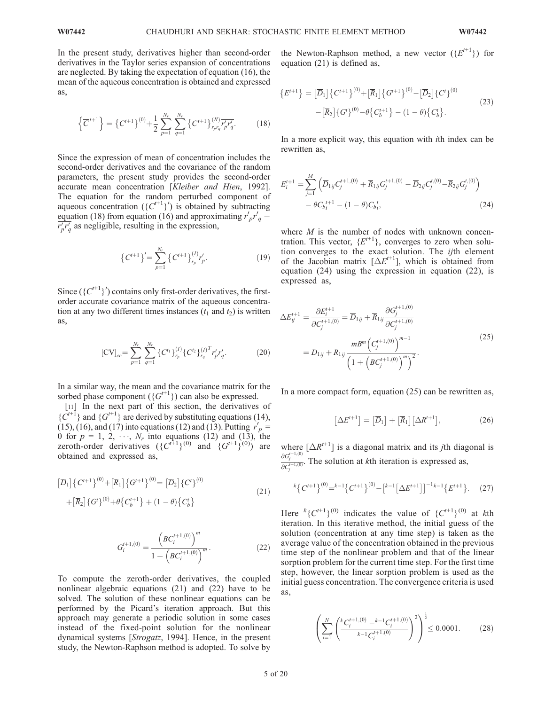$$
\left\{\overline{C}^{t+1}\right\} = \left\{C^{t+1}\right\}^{(0)} + \frac{1}{2} \sum_{p=1}^{N_r} \sum_{q=1}^{N_r} \left\{C^{t+1}\right\}_{r_p r_q}^{(II)} \overline{r'_p r'_q}.
$$
 (18)

Since the expression of mean of concentration includes the second-order derivatives and the covariance of the random parameters, the present study provides the second-order accurate mean concentration [*Kleiber and Hien*, 1992]. The equation for the random perturbed component of aqueous concentration  $({C^{t+1}})'$  is obtained by subtracting equation (18) from equation (16) and approximating  $r'_{p}r'_{q}$  –  $\overline{r'_p r'_q}$  as negligible, resulting in the expression,

$$
\left\{C^{t+1}\right\}' = \sum_{p=1}^{N_r} \left\{C^{t+1}\right\}_{r_p}^{(I)} r'_p. \tag{19}
$$

Since  $({C^{t+1}})'$  contains only first-order derivatives, the firstorder accurate covariance matrix of the aqueous concentration at any two different times instances  $(t_1$  and  $t_2)$  is written as,

$$
[\text{CV}]_{cc} = \sum_{p=1}^{N_r} \sum_{q=1}^{N_r} \{C^{t_1}\}_{r_p}^{(I)} \{C^{t_2}\}_{r_q}^{(I)} \frac{r_p}{r_p'}_{r_q'}^{I}.
$$
 (20)

In a similar way, the mean and the covariance matrix for the sorbed phase component  $({G}^{t+1})$  can also be expressed.

[11] In the next part of this section, the derivatives of  ${C^{t+1}}$  and  ${G^{t+1}}$  are derived by substituting equations (14), (15), (16), and (17) into equations (12) and (13). Putting  $r'_{p} =$ 0 for  $p = 1, 2, \dots, N_r$  into equations (12) and (13), the zeroth-order derivatives  $({C^{t+1}})^{(0)}$  and  $({G^{t+1}})^{(0)}$  are obtained and expressed as,

$$
\left[\overline{D}_{1}\right]\left\{C^{t+1}\right\}^{(0)} + \left[\overline{R}_{1}\right]\left\{G^{t+1}\right\}^{(0)} = \left[\overline{D}_{2}\right]\left\{C^{t}\right\}^{(0)} + \left[\overline{R}_{2}\right]\left\{G^{t}\right\}^{(0)} + \theta\left\{C_{b}^{t+1}\right\} + (1-\theta)\left\{C_{b}^{t}\right\} \tag{21}
$$

$$
G_i^{t+1,(0)} = \frac{\left( BC_i^{t+1,(0)} \right)^m}{1 + \left( BC_i^{t+1,(0)} \right)^m}.
$$
\n(22)

To compute the zeroth-order derivatives, the coupled nonlinear algebraic equations (21) and (22) have to be solved. The solution of these nonlinear equations can be performed by the Picard's iteration approach. But this approach may generate a periodic solution in some cases instead of the fixed-point solution for the nonlinear dynamical systems [*Strogatz*, 1994]. Hence, in the present study, the Newton-Raphson method is adopted. To solve by

the Newton-Raphson method, a new vector  $(\{E^{t+1}\})$  for equation (21) is defined as,

$$
\{E^{t+1}\} = \left[\overline{D}_1\right] \{C^{t+1}\}^{(0)} + \left[\overline{R}_1\right] \{G^{t+1}\}^{(0)} - \left[\overline{D}_2\right] \{C^t\}^{(0)} - \left[\overline{R}_2\right] \{G^t\}^{(0)} - \theta \{C_b^{t+1}\} - (1 - \theta) \{C_b^t\}.
$$
\n(23)

In a more explicit way, this equation with *i*th index can be rewritten as,

$$
E_i^{t+1} = \sum_{j=1}^{M} \left( \overline{D}_{1ij} C_j^{t+1,(0)} + \overline{R}_{1ij} G_j^{t+1,(0)} - \overline{D}_{2ij} C_j^{t,(0)} - \overline{R}_{2ij} G_j^{t,(0)} \right) - \theta C_{b_i}^{t+1} - (1 - \theta) C_{b_i}^{t},
$$
\n(24)

where *M* is the number of nodes with unknown concentration. This vector,  ${E}^{t+1}$ , converges to zero when solution converges to the exact solution. The *ij*th element of the Jacobian matrix  $[\Delta E^{t+1}]$ , which is obtained from equation (24) using the expression in equation (22), is expressed as,

$$
\Delta E_{ij}^{t+1} = \frac{\partial E_i^{t+1}}{\partial C_j^{t+1,(0)}} = \overline{D}_{1ij} + \overline{R}_{1ij} \frac{\partial G_j^{t+1,(0)}}{\partial C_j^{t+1,(0)}}
$$

$$
= \overline{D}_{1ij} + \overline{R}_{1ij} \frac{m B^m (C_j^{t+1,(0)})^{m-1}}{\left(1 + \left(BC_j^{t+1,(0)}\right)^m\right)^2}.
$$
(25)

In a more compact form, equation (25) can be rewritten as,

$$
\left[\Delta E^{t+1}\right] = \left[\overline{D}_1\right] + \left[\overline{R}_1\right] \left[\Delta R^{t+1}\right],\tag{26}
$$

where  $[\Delta R^{t+1}]$  is a diagonal matrix and its *j*th diagonal is  $\frac{\partial G_j^{t+1,(0)}}{\partial C_j^{t+1,(0)}}$ . The solution at *k*th iteration is expressed as,

$$
{}^{k}\left\{C^{t+1}\right\}^{(0)} = {}^{k-1}\left\{C^{t+1}\right\}^{(0)} - \left[{}^{k-1}\left[\Delta E^{t+1}\right]\right]^{-1} {}^{k-1}\left\{E^{t+1}\right\}.\tag{27}
$$

Here  ${}^{k}$ { $C^{t+1}$ }<sup>(0)</sup> indicates the value of { $C^{t+1}$ }<sup>(0)</sup> at *k*th iteration. In this iterative method, the initial guess of the solution (concentration at any time step) is taken as the average value of the concentration obtained in the previous time step of the nonlinear problem and that of the linear sorption problem for the current time step. For the first time step, however, the linear sorption problem is used as the initial guess concentration. The convergence criteria is used as,

$$
\left(\sum_{i=1}^{N} \left(\frac{k C_i^{t+1,(0)} - k - 1 C_i^{t+1,(0)}}{k - 1 C_i^{t+1,(0)}}\right)^2\right)^{\frac{1}{2}} \le 0.0001. \tag{28}
$$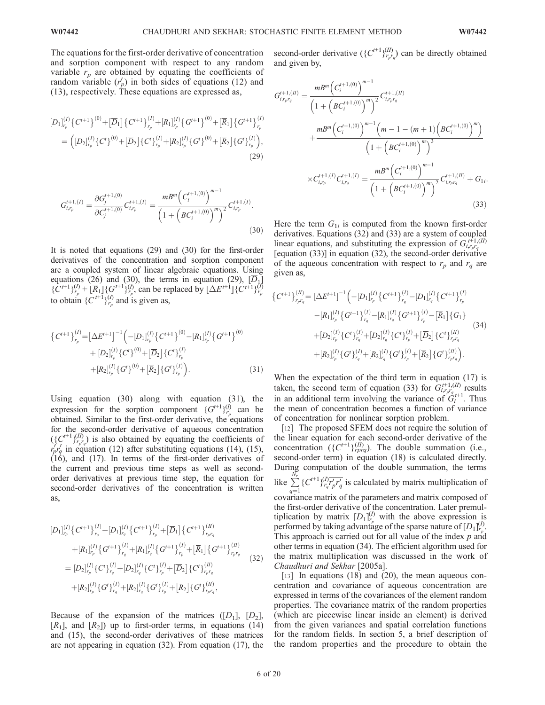The equations for the first-order derivative of concentration and sorption component with respect to any random variable  $r_p$  are obtained by equating the coefficients of random variable  $(r'_p)$  in both sides of equations (12) and (13), respectively. These equations are expressed as,

$$
[D_{1}]_{r_{p}}^{(I)}\left\{C^{t+1}\right\}^{(0)} + \left[\overline{D}_{1}\right]\left\{C^{t+1}\right\}_{r_{p}}^{(I)} + \left[R_{1}\right]_{r_{p}}^{(I)}\left\{G^{t+1}\right\}^{(0)} + \left[\overline{R}_{1}\right]\left\{G^{t+1}\right\}_{r_{p}}^{(I)} = \left([D_{2}]_{r_{p}}^{(I)}\left\{C^{t}\right\}^{(0)} + \left[\overline{D}_{2}\right]\left\{C^{t}\right\}_{r_{p}}^{(I)} + \left[R_{2}\right]_{r_{p}}^{(I)}\left\{G^{t}\right\}^{(0)} + \left[\overline{R}_{2}\right]\left\{G^{t}\right\}_{r_{p}}^{(I)}\right),
$$
\n(29)

$$
G_{i,r_p}^{t+1,(I)} = \frac{\partial G_j^{t+1,(0)}}{\partial C_j^{t+1,(0)}} C_{i,r_p}^{t+1,(I)} = \frac{m B^m \left( C_i^{t+1,(0)} \right)^{m-1}}{\left( 1 + \left( B C_i^{t+1,(0)} \right)^m \right)^2} C_{i,r_p}^{t+1,(I)}.
$$
\n(30)

It is noted that equations (29) and (30) for the first-order derivatives of the concentration and sorption component are a coupled system of linear algebraic equations. Using equations (26) and (30), the terms in equation (29),  $[\overline{D}_1]$  ${C^{t+1}}_{r_p}^{(l)}$  +  $[\overline{R_1}]$   ${G^{t+1}}_{r_p}^{(l)}$ , can be replaced by  $[\Delta E^{t+1}]$   ${C^{t+1}}_{r_p}^{(l)}$ to obtain  $\{C^{t+1}\}_{r_p}^{(I)}$  and is given as,

$$
\{C^{t+1}\}_{r_p}^{(I)} = \left[\Delta E^{t+1}\right]^{-1} \left(-[D_1]_{r_p}^{(I)} \{C^{t+1}\}^{(0)} - [R_1]_{r_p}^{(I)} \{G^{t+1}\}^{(0)}\right)
$$

$$
+ [D_2]_{r_p}^{(I)} \{C^t\}^{(0)} + \left[\overline{D}_2\right] \{C^t\}_{r_p}^{(I)} + [R_2]_{r_p}^{(I)} \{G^t\}^{(0)} + \left[\overline{R}_2\right] \{G^t\}_{r_p}^{(I)}\right).
$$
(31)

Using equation (30) along with equation (31), the expression for the sorption component  ${G^{t+1}}_{r_p}^{(l)}$  can be obtained. Similar to the first-order derivative, the equations for the second-order derivative of aqueous concentration  $({C^{t+1}}_{r,r_q}^{(II)})$  is also obtained by equating the coefficients of  $r'_{p}r'_{q}$  in equation (12) after substituting equations (14), (15), (16), and (17). In terms of the first-order derivatives of the current and previous time steps as well as secondorder derivatives at previous time step, the equation for second-order derivatives of the concentration is written as,

$$
[D_{1}]_{r_{p}}^{(I)} \{C^{t+1}\}_{r_{q}}^{(I)} + [D_{1}]_{r_{q}}^{(I)} \{C^{t+1}\}_{r_{p}}^{(I)} + [\overline{D}_{1}] \{C^{t+1}\}_{r_{p}r_{q}}^{(II)} + [R_{1}]_{r_{p}}^{(I)} \{G^{t+1}\}_{r_{q}}^{(I)} + [R_{1}]_{r_{q}}^{(I)} \{G^{t+1}\}_{r_{p}}^{(I)} + [\overline{R}_{1}] \{G^{t+1}\}_{r_{p}r_{q}}^{(II)} = [D_{2}]_{r_{p}}^{(I)} \{C^{t}\}_{r_{q}}^{(I)} + [D_{2}]_{r_{q}}^{(I)} \{C^{t}\}_{r_{p}}^{(I)} + [\overline{D}_{2}] \{C^{t}\}_{r_{p}r_{q}}^{(II)} + [R_{2}]_{r_{p}}^{(I)} \{G^{t}\}_{r_{q}}^{(I)} + [R_{2}]_{r_{q}}^{(I)} \{G^{t}\}_{r_{p}}^{(I)} + [\overline{R}_{2}] \{G^{t}\}_{r_{p}r_{q}}^{(II)},
$$
\n(32)

Because of the expansion of the matrices  $([D_1], [D_2],$  $[R_1]$ , and  $[R_2]$ ) up to first-order terms, in equations (14) and (15), the second-order derivatives of these matrices are not appearing in equation (32). From equation (17), the

second-order derivative  $({C^{t+1}}_{r,r_q}^{(II)})$  can be directly obtained and given by,

$$
G_{i,r_{p}r_{q}}^{t+1,(II)} = \frac{mB^{m} (C_{i}^{t+1,(0)})^{m-1}}{\left(1 + \left(BC_{i}^{t+1,(0)}\right)^{m}\right)^{2}} C_{i,r_{p}r_{q}}^{t+1,(II)} + \frac{mB^{m} (C_{i}^{t+1,(0)})^{m-1} \left(m-1 - (m+1)\left(BC_{i}^{t+1,(0)}\right)^{m}\right)}{\left(1 + \left(BC_{i}^{t+1,(0)}\right)^{m}\right)^{3}}
$$

$$
\times C_{i,r_{p}}^{t+1,(I)} C_{i,r_{q}}^{t+1,(I)} = \frac{mB^{m} (C_{i}^{t+1,(0)})^{m-1}}{\left(1 + \left(BC_{i}^{t+1,(0)}\right)^{m}\right)^{2}} C_{i,r_{p}r_{q}}^{t+1,(II)} + G_{1i}.
$$
\n(33)

Here the term  $G_{1i}$  is computed from the known first-order derivatives. Equations (32) and (33) are a system of coupled linear equations, and substituting the expression of  $G^{t+1,(II)}_{i,r,r_q}$ [equation (33)] in equation (32), the second-order derivative of the aqueous concentration with respect to  $r_p$  and  $r_q$  are given as,

$$
\{C^{t+1}\}_{r_{p}r_{q}}^{(II)} = \left[\Delta E^{t+1}\right]^{-1} \left(-\left[D_{1}\right]_{r_{p}}^{(I)} \left\{C^{t+1}\right\}_{r_{q}}^{(I)} - \left[D_{1}\right]_{r_{q}}^{(I)} \left\{C^{t+1}\right\}_{r_{p}}^{(I)} - \left[R_{1}\right]_{r_{p}}^{(I)} \left\{G^{t+1}\right\}_{r_{p}}^{(I)} - \left[R_{1}\right]_{r_{q}}^{(I)} \left\{G^{t+1}\right\}_{r_{p}}^{(I)} - \left[\overline{R}_{1}\right] \left\{G_{1}\right\} + \left[D_{2}\right]_{r_{p}}^{(I)} \left\{C^{t}\right\}_{r_{q}}^{(I)} + \left[D_{2}\right]_{r_{q}}^{(I)} \left\{C^{t}\right\}_{r_{p}}^{(I)} + \left[\overline{D}_{2}\right] \left\{C^{t}\right\}_{r_{p}r_{q}}^{(II)} + \left[R_{2}\right]_{r_{p}}^{(I)} \left\{G^{t}\right\}_{r_{q}}^{(I)} + \left[R_{2}\right]_{r_{q}}^{(I)} \left\{G^{t}\right\}_{r_{p}}^{(I)} + \left[\overline{R}_{2}\right] \left\{G^{t}\right\}_{r_{p}r_{q}}^{(II)}\right\}.
$$
\n(34)

When the expectation of the third term in equation (17) is taken, the second term of equation (33) for  $G^{t+1,(II)}_{i,r,r_q}$  results in an additional term involving the variance of  $G_i^{p,q+1}$ . Thus the mean of concentration becomes a function of variance of concentration for nonlinear sorption problem.

[12] The proposed SFEM does not require the solution of the linear equation for each second-order derivative of the concentration  $({C^{t+1}}_{rprq}^{(II)})$ . The double summation (i.e., second-order term) in equation (18) is calculated directly. During computation of the double summation, the terms like  $\sum^{N_r}$  $q=1$  ${C^{t+1}}$  ${D^{t}\over r'_q r'_p r'_q}$  is calculated by matrix multiplication of covariance matrix of the parameters and matrix composed of the first-order derivative of the concentration. Later premultiplication by matrix  $[D_1]_{r_p}^{(I)}$  with the above expression is performed by taking advantage of the sparse nature of  $[D_1]_{r_p}^{(I)}$ . This approach is carried out for all value of the index *p* and other terms in equation (34). The efficient algorithm used for the matrix multiplication was discussed in the work of *Chaudhuri and Sekhar* [2005a].

[13] In equations  $(18)$  and  $(20)$ , the mean aqueous concentration and covariance of aqueous concentration are expressed in terms of the covariances of the element random properties. The covariance matrix of the random properties (which are piecewise linear inside an element) is derived from the given variances and spatial correlation functions for the random fields. In section 5, a brief description of the random properties and the procedure to obtain the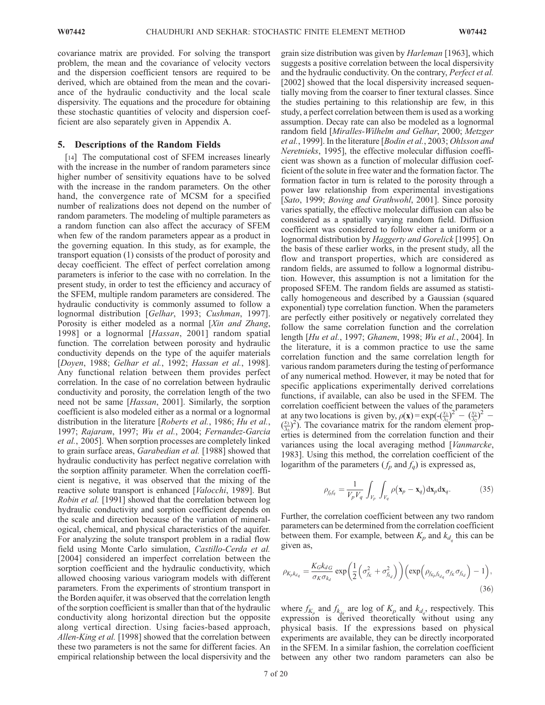covariance matrix are provided. For solving the transport problem, the mean and the covariance of velocity vectors and the dispersion coefficient tensors are required to be derived, which are obtained from the mean and the covariance of the hydraulic conductivity and the local scale dispersivity. The equations and the procedure for obtaining these stochastic quantities of velocity and dispersion coefficient are also separately given in Appendix A.

#### 5. Descriptions of the Random Fields

[14] The computational cost of SFEM increases linearly with the increase in the number of random parameters since higher number of sensitivity equations have to be solved with the increase in the random parameters. On the other hand, the convergence rate of MCSM for a specified number of realizations does not depend on the number of random parameters. The modeling of multiple parameters as a random function can also affect the accuracy of SFEM when few of the random parameters appear as a product in the governing equation. In this study, as for example, the transport equation (1) consists of the product of porosity and decay coefficient. The effect of perfect correlation among parameters is inferior to the case with no correlation. In the present study, in order to test the efficiency and accuracy of the SFEM, multiple random parameters are considered. The hydraulic conductivity is commonly assumed to follow a lognormal distribution [*Gelhar*, 1993; *Cushman*, 1997]. Porosity is either modeled as a normal [*Xin and Zhang*, 1998] or a lognormal [*Hassan*, 2001] random spatial function. The correlation between porosity and hydraulic conductivity depends on the type of the aquifer materials [*Doyen*, 1988; *Gelhar et al.*, 1992; *Hassan et al.*, 1998]. Any functional relation between them provides perfect correlation. In the case of no correlation between hydraulic conductivity and porosity, the correlation length of the two need not be same [*Hassan*, 2001]. Similarly, the sorption coefficient is also modeled either as a normal or a lognormal distribution in the literature [*Roberts et al.*, 1986; *Hu et al.*, 1997; *Rajaram*, 1997; *Wu et al.*, 2004; *Fernandez-Garcia et al.*, 2005]. When sorption processes are completely linked to grain surface areas, *Garabedian et al.* [1988] showed that hydraulic conductivity has perfect negative correlation with the sorption affinity parameter. When the correlation coefficient is negative, it was observed that the mixing of the reactive solute transport is enhanced [*Valocchi*, 1989]. But *Robin et al.* [1991] showed that the correlation between log hydraulic conductivity and sorption coefficient depends on the scale and direction because of the variation of mineralogical, chemical, and physical characteristics of the aquifer. For analyzing the solute transport problem in a radial flow field using Monte Carlo simulation, *Castillo-Cerda et al.* [2004] considered an imperfect correlation between the sorption coefficient and the hydraulic conductivity, which allowed choosing various variogram models with different parameters. From the experiments of strontium transport in the Borden aquifer, it was observed that the correlation length of the sorption coefficient is smaller than that of the hydraulic conductivity along horizontal direction but the opposite along vertical direction. Using facies-based approach, *Allen-King et al.* [1998] showed that the correlation between these two parameters is not the same for different facies. An empirical relationship between the local dispersivity and the

grain size distribution was given by *Harleman* [1963], which suggests a positive correlation between the local dispersivity and the hydraulic conductivity. On the contrary, *Perfect et al.* [2002] showed that the local dispersivity increased sequentially moving from the coarser to finer textural classes. Since the studies pertaining to this relationship are few, in this study, a perfect correlation between them is used as a working assumption. Decay rate can also be modeled as a lognormal random field [*Miralles-Wilhelm and Gelhar*, 2000; *Metzger et al.*, 1999]. In the literature [*Bodin et al.*, 2003; *Ohlsson and Neretnieks*, 1995], the effective molecular diffusion coefficient was shown as a function of molecular diffusion coefficient of the solute in free water and the formation factor. The formation factor in turn is related to the porosity through a power law relationship from experimental investigations [*Sato*, 1999; *Boving and Grathwohl*, 2001]. Since porosity varies spatially, the effective molecular diffusion can also be considered as a spatially varying random field. Diffusion coefficient was considered to follow either a uniform or a lognormal distribution by *Haggerty and Gorelick* [1995]. On the basis of these earlier works, in the present study, all the flow and transport properties, which are considered as random fields, are assumed to follow a lognormal distribution. However, this assumption is not a limitation for the proposed SFEM. The random fields are assumed as statistically homogeneous and described by a Gaussian (squared exponential) type correlation function. When the parameters are perfectly either positively or negatively correlated they follow the same correlation function and the correlation length [*Hu et al.*, 1997; *Ghanem*, 1998; *Wu et al.*, 2004]. In the literature, it is a common practice to use the same correlation function and the same correlation length for various random parameters during the testing of performance of any numerical method. However, it may be noted that for specific applications experimentally derived correlations functions, if available, can also be used in the SFEM. The correlation coefficient between the values of the parameters at any two locations is given by,  $\rho(\mathbf{x}) = \exp(-\left(\frac{x_1}{\lambda_1}\right)^2 - \left(\frac{x_2}{\lambda_2}\right)^2 (\frac{x_3}{\lambda_3})^2$ ). The covariance matrix for the random element properties is determined from the correlation function and their variances using the local averaging method [*Vanmarcke*, 1983]. Using this method, the correlation coefficient of the logarithm of the parameters  $(f_p \text{ and } f_q)$  is expressed as,

$$
\rho_{f_p f_q} = \frac{1}{V_p V_q} \int_{V_p} \int_{V_q} \rho(\mathbf{x}_p - \mathbf{x}_q) d\mathbf{x}_p d\mathbf{x}_q.
$$
 (35)

Further, the correlation coefficient between any two random parameters can be determined from the correlation coefficient between them. For example, between  $K_p$  and  $k_{d_q}$  this can be given as,

$$
\rho_{K_p k_{d_q}} = \frac{K_G k_{dG}}{\sigma_K \sigma_{k_d}} \exp\left(\frac{1}{2} \left(\sigma_{f_K}^2 + \sigma_{f_{k_d}}^2\right)\right) \left(\exp\left(\rho_{f_{K_p} f_{k_{d_q}}} \sigma_{f_K} \sigma_{f_{k_d}}\right) - 1\right),\tag{36}
$$

where  $f_{K_p}$  and  $f_{k_{dq}}$  are log of  $K_p$  and  $k_{d_q}$ , respectively. This expression is derived theoretically without using any physical basis. If the expressions based on physical experiments are available, they can be directly incorporated in the SFEM. In a similar fashion, the correlation coefficient between any other two random parameters can also be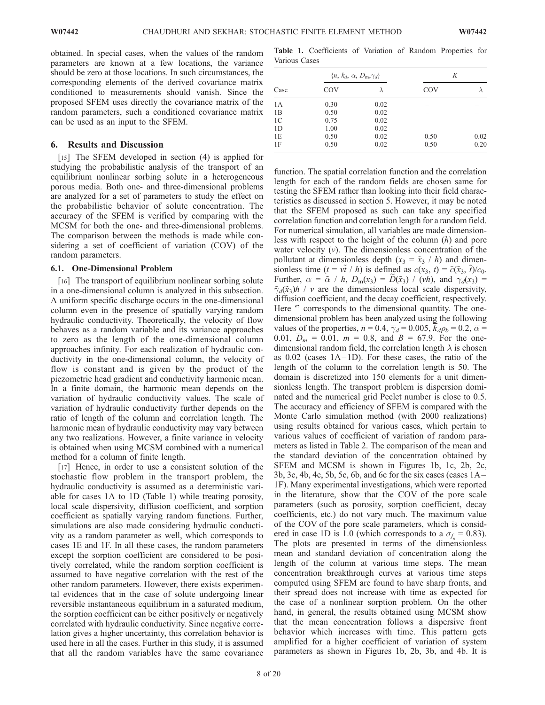obtained. In special cases, when the values of the random parameters are known at a few locations, the variance should be zero at those locations. In such circumstances, the corresponding elements of the derived covariance matrix conditioned to measurements should vanish. Since the proposed SFEM uses directly the covariance matrix of the random parameters, such a conditioned covariance matrix can be used as an input to the SFEM.

#### 6. Results and Discussion

[15] The SFEM developed in section (4) is applied for studying the probabilistic analysis of the transport of an equilibrium nonlinear sorbing solute in a heterogeneous porous media. Both one- and three-dimensional problems are analyzed for a set of parameters to study the effect on the probabilistic behavior of solute concentration. The accuracy of the SFEM is verified by comparing with the MCSM for both the one- and three-dimensional problems. The comparison between the methods is made while considering a set of coefficient of variation (COV) of the random parameters.

#### 6.1. One-Dimensional Problem

[16] The transport of equilibrium nonlinear sorbing solute in a one-dimensional column is analyzed in this subsection. A uniform specific discharge occurs in the one-dimensional column even in the presence of spatially varying random hydraulic conductivity. Theoretically, the velocity of flow behaves as a random variable and its variance approaches to zero as the length of the one-dimensional column approaches infinity. For each realization of hydraulic conductivity in the one-dimensional column, the velocity of flow is constant and is given by the product of the piezometric head gradient and conductivity harmonic mean. In a finite domain, the harmonic mean depends on the variation of hydraulic conductivity values. The scale of variation of hydraulic conductivity further depends on the ratio of length of the column and correlation length. The harmonic mean of hydraulic conductivity may vary between any two realizations. However, a finite variance in velocity is obtained when using MCSM combined with a numerical method for a column of finite length.

[17] Hence, in order to use a consistent solution of the stochastic flow problem in the transport problem, the hydraulic conductivity is assumed as a deterministic variable for cases 1A to 1D (Table 1) while treating porosity, local scale dispersivity, diffusion coefficient, and sorption coefficient as spatially varying random functions. Further, simulations are also made considering hydraulic conductivity as a random parameter as well, which corresponds to cases 1E and 1F. In all these cases, the random parameters except the sorption coefficient are considered to be positively correlated, while the random sorption coefficient is assumed to have negative correlation with the rest of the other random parameters. However, there exists experimental evidences that in the case of solute undergoing linear reversible instantaneous equilibrium in a saturated medium, the sorption coefficient can be either positively or negatively correlated with hydraulic conductivity. Since negative correlation gives a higher uncertainty, this correlation behavior is used here in all the cases. Further in this study, it is assumed that all the random variables have the same covariance

Table 1. Coefficients of Variation of Random Properties for Various Cases

| Case           | ${n, k_d, \alpha, D_m, \gamma_d}$ |      | Κ                        |                          |
|----------------|-----------------------------------|------|--------------------------|--------------------------|
|                | COV                               |      | COV                      |                          |
| 1A             | 0.30                              | 0.02 | -                        |                          |
| 1B             | 0.50                              | 0.02 | -                        | $\overline{\phantom{a}}$ |
| 1 <sup>C</sup> | 0.75                              | 0.02 | -                        | $\overline{\phantom{a}}$ |
| 1D             | 1.00                              | 0.02 | $\overline{\phantom{a}}$ |                          |
| 1E             | 0.50                              | 0.02 | 0.50                     | 0.02                     |
| 1F             | 0.50                              | 0.02 | 0.50                     | 0.20                     |

function. The spatial correlation function and the correlation length for each of the random fields are chosen same for testing the SFEM rather than looking into their field characteristics as discussed in section 5. However, it may be noted that the SFEM proposed as such can take any specified correlation function and correlation length for a random field. For numerical simulation, all variables are made dimensionless with respect to the height of the column (*h*) and pore water velocity (*v*). The dimensionless concentration of the pollutant at dimensionless depth  $(x_3 = \tilde{x}_3 / h)$  and dimensionless time  $(t = vt / h)$  is defined as  $c(x_3, t) = \tilde{c}(\tilde{x}_3, t)/c_0$ . Further,  $\alpha = \tilde{\alpha} / h$ ,  $D_m(x_3) = D(\tilde{x}_3) / (vh)$ , and  $\gamma_d(x_3) =$  $\tilde{\gamma}_d(\tilde{x}_3)h / v$  are the dimensionless local scale dispersivity, diffusion coefficient, and the decay coefficient, respectively. Here  $\degree$  corresponds to the dimensional quantity. The onedimensional problem has been analyzed using the following values of the properties,  $\overline{n} = 0.4$ ,  $\overline{\gamma}_d = 0.005$ ,  $\overline{k}_d \rho_b = 0.2$ ,  $\overline{\alpha} =$ 0.01,  $\overline{D}_m = 0.01$ ,  $m = 0.8$ , and  $B = 67.9$ . For the onedimensional random field, the correlation length  $\lambda$  is chosen as  $0.02$  (cases  $1A-1D$ ). For these cases, the ratio of the length of the column to the correlation length is 50. The domain is discretized into 150 elements for a unit dimensionless length. The transport problem is dispersion dominated and the numerical grid Peclet number is close to 0.5. The accuracy and efficiency of SFEM is compared with the Monte Carlo simulation method (with 2000 realizations) using results obtained for various cases, which pertain to various values of coefficient of variation of random parameters as listed in Table 2. The comparison of the mean and the standard deviation of the concentration obtained by SFEM and MCSM is shown in Figures 1b, 1c, 2b, 2c, 3b, 3c, 4b, 4c, 5b, 5c, 6b, and 6c for the six cases (cases 1A – 1F). Many experimental investigations, which were reported in the literature, show that the COV of the pore scale parameters (such as porosity, sorption coefficient, decay coefficients, etc.) do not vary much. The maximum value of the COV of the pore scale parameters, which is considered in case 1D is 1.0 (which corresponds to a  $\sigma_{f_n} = 0.83$ ). The plots are presented in terms of the dimensionless mean and standard deviation of concentration along the length of the column at various time steps. The mean concentration breakthrough curves at various time steps computed using SFEM are found to have sharp fronts, and their spread does not increase with time as expected for the case of a nonlinear sorption problem. On the other hand, in general, the results obtained using MCSM show that the mean concentration follows a dispersive front behavior which increases with time. This pattern gets amplified for a higher coefficient of variation of system parameters as shown in Figures 1b, 2b, 3b, and 4b. It is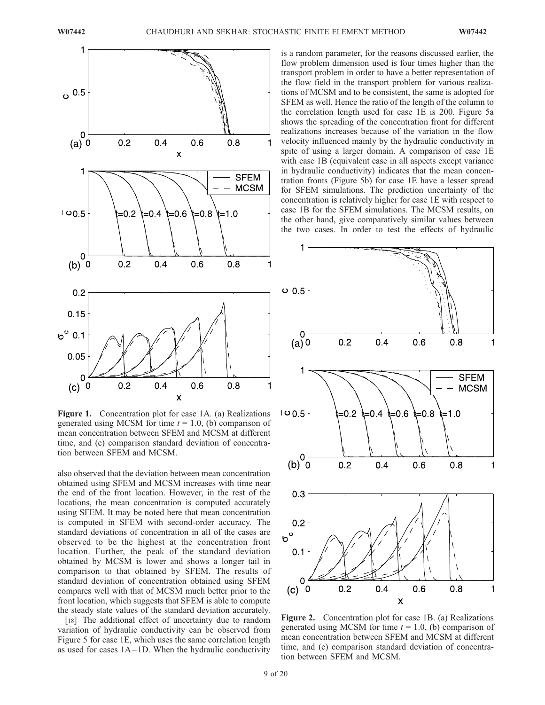

Figure 1. Concentration plot for case 1A. (a) Realizations generated using MCSM for time *t* = 1.0, (b) comparison of mean concentration between SFEM and MCSM at different time, and (c) comparison standard deviation of concentration between SFEM and MCSM.

also observed that the deviation between mean concentration obtained using SFEM and MCSM increases with time near the end of the front location. However, in the rest of the locations, the mean concentration is computed accurately using SFEM. It may be noted here that mean concentration is computed in SFEM with second-order accuracy. The standard deviations of concentration in all of the cases are observed to be the highest at the concentration front location. Further, the peak of the standard deviation obtained by MCSM is lower and shows a longer tail in comparison to that obtained by SFEM. The results of standard deviation of concentration obtained using SFEM compares well with that of MCSM much better prior to the front location, which suggests that SFEM is able to compute the steady state values of the standard deviation accurately.

[18] The additional effect of uncertainty due to random variation of hydraulic conductivity can be observed from Figure 5 for case 1E, which uses the same correlation length as used for cases  $1A-1D$ . When the hydraulic conductivity is a random parameter, for the reasons discussed earlier, the flow problem dimension used is four times higher than the transport problem in order to have a better representation of the flow field in the transport problem for various realizations of MCSM and to be consistent, the same is adopted for SFEM as well. Hence the ratio of the length of the column to the correlation length used for case 1E is 200. Figure 5a shows the spreading of the concentration front for different realizations increases because of the variation in the flow velocity influenced mainly by the hydraulic conductivity in spite of using a larger domain. A comparison of case 1E with case 1B (equivalent case in all aspects except variance in hydraulic conductivity) indicates that the mean concentration fronts (Figure 5b) for case 1E have a lesser spread for SFEM simulations. The prediction uncertainty of the concentration is relatively higher for case 1E with respect to case 1B for the SFEM simulations. The MCSM results, on the other hand, give comparatively similar values between the two cases. In order to test the effects of hydraulic



Figure 2. Concentration plot for case 1B. (a) Realizations generated using MCSM for time *t* = 1.0, (b) comparison of mean concentration between SFEM and MCSM at different time, and (c) comparison standard deviation of concentration between SFEM and MCSM.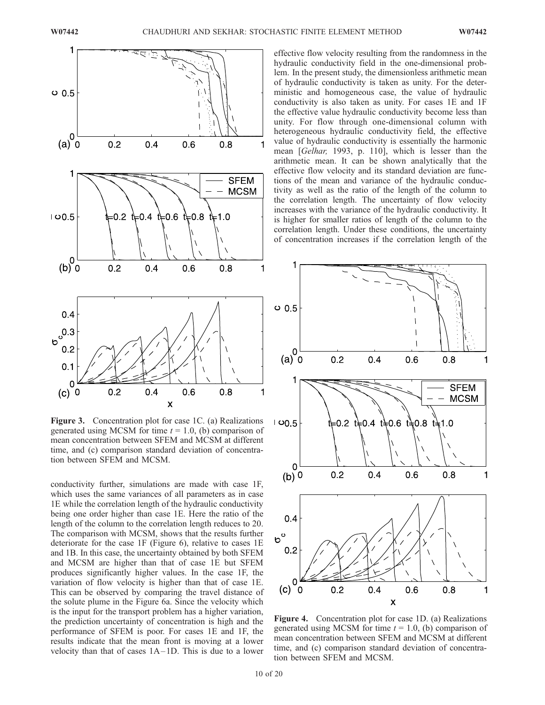

Figure 3. Concentration plot for case 1C. (a) Realizations generated using MCSM for time *t* = 1.0, (b) comparison of mean concentration between SFEM and MCSM at different time, and (c) comparison standard deviation of concentration between SFEM and MCSM.

conductivity further, simulations are made with case 1F, which uses the same variances of all parameters as in case 1E while the correlation length of the hydraulic conductivity being one order higher than case 1E. Here the ratio of the length of the column to the correlation length reduces to 20. The comparison with MCSM, shows that the results further deteriorate for the case 1F (Figure 6), relative to cases 1E and 1B. In this case, the uncertainty obtained by both SFEM and MCSM are higher than that of case 1E but SFEM produces significantly higher values. In the case 1F, the variation of flow velocity is higher than that of case 1E. This can be observed by comparing the travel distance of the solute plume in the Figure 6a. Since the velocity which is the input for the transport problem has a higher variation, the prediction uncertainty of concentration is high and the performance of SFEM is poor. For cases 1E and 1F, the results indicate that the mean front is moving at a lower velocity than that of cases 1A – 1D. This is due to a lower

effective flow velocity resulting from the randomness in the hydraulic conductivity field in the one-dimensional problem. In the present study, the dimensionless arithmetic mean of hydraulic conductivity is taken as unity. For the deterministic and homogeneous case, the value of hydraulic conductivity is also taken as unity. For cases 1E and 1F the effective value hydraulic conductivity become less than unity. For flow through one-dimensional column with heterogeneous hydraulic conductivity field, the effective value of hydraulic conductivity is essentially the harmonic mean [*Gelhar,* 1993, p. 110], which is lesser than the arithmetic mean. It can be shown analytically that the effective flow velocity and its standard deviation are functions of the mean and variance of the hydraulic conductivity as well as the ratio of the length of the column to the correlation length. The uncertainty of flow velocity increases with the variance of the hydraulic conductivity. It is higher for smaller ratios of length of the column to the correlation length. Under these conditions, the uncertainty of concentration increases if the correlation length of the



Figure 4. Concentration plot for case 1D. (a) Realizations generated using MCSM for time *t* = 1.0, (b) comparison of mean concentration between SFEM and MCSM at different time, and (c) comparison standard deviation of concentration between SFEM and MCSM.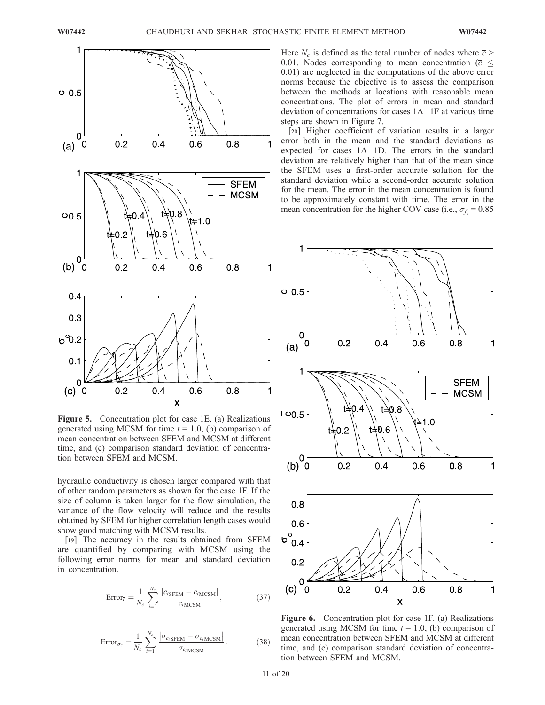

Figure 5. Concentration plot for case 1E. (a) Realizations generated using MCSM for time *t* = 1.0, (b) comparison of mean concentration between SFEM and MCSM at different time, and (c) comparison standard deviation of concentration between SFEM and MCSM.

hydraulic conductivity is chosen larger compared with that of other random parameters as shown for the case 1F. If the size of column is taken larger for the flow simulation, the variance of the flow velocity will reduce and the results obtained by SFEM for higher correlation length cases would show good matching with MCSM results.

[19] The accuracy in the results obtained from SFEM are quantified by comparing with MCSM using the following error norms for mean and standard deviation in concentration.

$$
Error_{\overline{c}} = \frac{1}{N_c} \sum_{i=1}^{N_c} \frac{|\overline{c}_{i\text{SFEM}} - \overline{c}_{i\text{MCSM}}|}{\overline{c}_{i\text{MCSM}}},\tag{37}
$$

$$
Error_{\sigma_c} = \frac{1}{N_c} \sum_{i=1}^{N_c} \frac{|\sigma_{c_i \text{SFEM}} - \sigma_{c_i \text{MCSM}}|}{\sigma_{c_i \text{MCSM}}}.
$$
 (38)

Here  $N_c$  is defined as the total number of nodes where  $\overline{c}$  > 0.01. Nodes corresponding to mean concentration ( $\overline{c} \leq$ 0.01) are neglected in the computations of the above error norms because the objective is to assess the comparison between the methods at locations with reasonable mean concentrations. The plot of errors in mean and standard deviation of concentrations for cases 1A – 1F at various time steps are shown in Figure 7.

[20] Higher coefficient of variation results in a larger error both in the mean and the standard deviations as expected for cases 1A-1D. The errors in the standard deviation are relatively higher than that of the mean since the SFEM uses a first-order accurate solution for the standard deviation while a second-order accurate solution for the mean. The error in the mean concentration is found to be approximately constant with time. The error in the mean concentration for the higher COV case (i.e.,  $\sigma_{f_n} = 0.85$ )



Figure 6. Concentration plot for case 1F. (a) Realizations generated using MCSM for time *t* = 1.0, (b) comparison of mean concentration between SFEM and MCSM at different time, and (c) comparison standard deviation of concentration between SFEM and MCSM.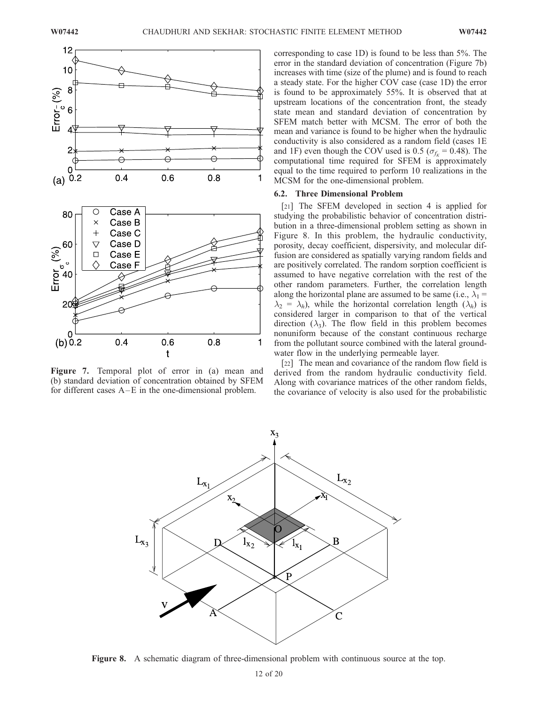

Figure 7. Temporal plot of error in (a) mean and (b) standard deviation of concentration obtained by SFEM for different cases A –E in the one-dimensional problem.

corresponding to case 1D) is found to be less than 5%. The error in the standard deviation of concentration (Figure 7b) increases with time (size of the plume) and is found to reach a steady state. For the higher COV case (case 1D) the error is found to be approximately 55%. It is observed that at upstream locations of the concentration front, the steady state mean and standard deviation of concentration by SFEM match better with MCSM. The error of both the mean and variance is found to be higher when the hydraulic conductivity is also considered as a random field (cases 1E and 1F) even though the COV used is 0.5 ( $\sigma_{f_k}$  = 0.48). The computational time required for SFEM is approximately equal to the time required to perform 10 realizations in the MCSM for the one-dimensional problem.

#### 6.2. Three Dimensional Problem

[21] The SFEM developed in section 4 is applied for studying the probabilistic behavior of concentration distribution in a three-dimensional problem setting as shown in Figure 8. In this problem, the hydraulic conductivity, porosity, decay coefficient, dispersivity, and molecular diffusion are considered as spatially varying random fields and are positively correlated. The random sorption coefficient is assumed to have negative correlation with the rest of the other random parameters. Further, the correlation length along the horizontal plane are assumed to be same (i.e.,  $\lambda_1$  =  $\lambda_2 = \lambda_h$ ), while the horizontal correlation length ( $\lambda_h$ ) is considered larger in comparison to that of the vertical direction  $(\lambda_3)$ . The flow field in this problem becomes nonuniform because of the constant continuous recharge from the pollutant source combined with the lateral groundwater flow in the underlying permeable layer.

[22] The mean and covariance of the random flow field is derived from the random hydraulic conductivity field. Along with covariance matrices of the other random fields, the covariance of velocity is also used for the probabilistic



Figure 8. A schematic diagram of three-dimensional problem with continuous source at the top.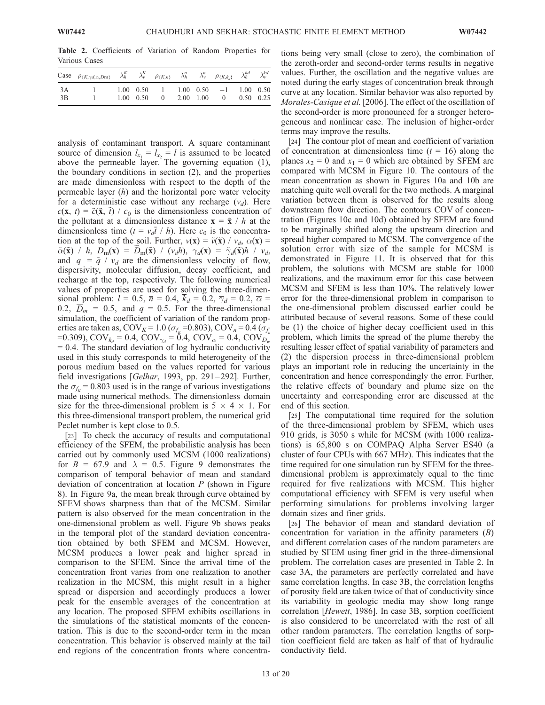Table 2. Coefficients of Variation of Random Properties for Various Cases

|           | Case $\rho_{\{K, \gamma d, \alpha, Dm\}}$ $\lambda_h^K$ $\lambda_v^K$ $\rho_{\{K, n\}}$ $\lambda_h^n$ $\lambda_v^n$ $\rho_{\{K, k_d\}}$ $\lambda_h^{kd}$ $\lambda_v^{kd}$ |  |  |                                                                                                                                     |  |
|-----------|---------------------------------------------------------------------------------------------------------------------------------------------------------------------------|--|--|-------------------------------------------------------------------------------------------------------------------------------------|--|
| 3A<br>-3B |                                                                                                                                                                           |  |  | $1.00 \quad 0.50 \quad 1 \quad 1.00 \quad 0.50 \quad -1 \quad 1.00 \quad 0.50$<br>$1.00 \t0.50 \t0 \t2.00 \t1.00 \t0 \t0.50 \t0.25$ |  |

analysis of contaminant transport. A square contaminant source of dimension  $l_{x_1} = l_{x_2} = l$  is assumed to be located above the permeable layer. The governing equation (1), the boundary conditions in section (2), and the properties are made dimensionless with respect to the depth of the permeable layer (*h*) and the horizontal pore water velocity for a deterministic case without any recharge  $(v_d)$ . Here  $c(\mathbf{x}, t) = \tilde{c}(\tilde{\mathbf{x}}, \tilde{t}) / c_0$  is the dimensionless concentration of the pollutant at a dimensionless distance  $\mathbf{x} = \tilde{\mathbf{x}} / h$  at the dimensionless time  $(t = v_d\tilde{t} / h)$ . Here  $c_0$  is the concentration at the top of the soil. Further,  $v(\mathbf{x}) = \tilde{v}(\tilde{\mathbf{x}}) / v_d$ ,  $\alpha(\mathbf{x}) =$  $\tilde{\alpha}(\tilde{\mathbf{x}})$  / *h*,  $D_{\text{m}}(\mathbf{x}) = \tilde{D}_{\text{m}}(\tilde{\mathbf{x}})$  /  $(v_d h), \gamma_d(\mathbf{x}) = \tilde{\gamma}_d(\tilde{\mathbf{x}})h$  /  $v_d$ , and  $q = \tilde{q} / v_d$  are the dimensionless velocity of flow, dispersivity, molecular diffusion, decay coefficient, and recharge at the top, respectively. The following numerical values of properties are used for solving the three-dimensional problem:  $l = 0.5$ ,  $\overline{n} = 0.4$ ,  $k_d = 0.2$ ,  $\overline{\gamma}_d = 0.2$ ,  $\overline{\alpha} =$ 0.2,  $\overline{D}_m$  = 0.5, and  $q = 0.5$ . For the three-dimensional simulation, the coefficient of variation of the random properties are taken as,  $COV_K = 1.0 (\sigma_{f_K} = 0.803)$ ,  $COV_n = 0.4 (\sigma_f$  $=0.309$ ),  $COV_{k_d} = 0.4$ ,  $COV_{\gamma_d} = 0.4$ ,  $COV_{\alpha} = 0.4$ ,  $COV_{D_m}$  $= 0.4$ . The standard deviation of log hydraulic conductivity used in this study corresponds to mild heterogeneity of the porous medium based on the values reported for various field investigations [*Gelhar*, 1993, pp. 291-292]. Further, the  $\sigma_{f_k}$  = 0.803 used is in the range of various investigations made using numerical methods. The dimensionless domain size for the three-dimensional problem is  $5 \times 4 \times 1$ . For this three-dimensional transport problem, the numerical grid Peclet number is kept close to 0.5.

[23] To check the accuracy of results and computational efficiency of the SFEM, the probabilistic analysis has been carried out by commonly used MCSM (1000 realizations) for  $B = 67.9$  and  $\lambda = 0.5$ . Figure 9 demonstrates the comparison of temporal behavior of mean and standard deviation of concentration at location *P* (shown in Figure 8). In Figure 9a, the mean break through curve obtained by SFEM shows sharpness than that of the MCSM. Similar pattern is also observed for the mean concentration in the one-dimensional problem as well. Figure 9b shows peaks in the temporal plot of the standard deviation concentration obtained by both SFEM and MCSM. However, MCSM produces a lower peak and higher spread in comparison to the SFEM. Since the arrival time of the concentration front varies from one realization to another realization in the MCSM, this might result in a higher spread or dispersion and accordingly produces a lower peak for the ensemble averages of the concentration at any location. The proposed SFEM exhibits oscillations in the simulations of the statistical moments of the concentration. This is due to the second-order term in the mean concentration. This behavior is observed mainly at the tail end regions of the concentration fronts where concentrations being very small (close to zero), the combination of the zeroth-order and second-order terms results in negative values. Further, the oscillation and the negative values are noted during the early stages of concentration break through curve at any location. Similar behavior was also reported by *Morales-Casique et al.* [2006]. The effect of the oscillation of the second-order is more pronounced for a stronger heterogeneous and nonlinear case. The inclusion of higher-order terms may improve the results.

[24] The contour plot of mean and coefficient of variation of concentration at dimensionless time  $(t = 16)$  along the planes  $x_2 = 0$  and  $x_1 = 0$  which are obtained by SFEM are compared with MCSM in Figure 10. The contours of the mean concentration as shown in Figures 10a and 10b are matching quite well overall for the two methods. A marginal variation between them is observed for the results along downstream flow direction. The contours COV of concentration (Figures 10c and 10d) obtained by SFEM are found to be marginally shifted along the upstream direction and spread higher compared to MCSM. The convergence of the solution error with size of the sample for MCSM is demonstrated in Figure 11. It is observed that for this problem, the solutions with MCSM are stable for 1000 realizations, and the maximum error for this case between MCSM and SFEM is less than 10%. The relatively lower error for the three-dimensional problem in comparison to the one-dimensional problem discussed earlier could be attributed because of several reasons. Some of these could be (1) the choice of higher decay coefficient used in this problem, which limits the spread of the plume thereby the resulting lesser effect of spatial variability of parameters and (2) the dispersion process in three-dimensional problem plays an important role in reducing the uncertainty in the concentration and hence correspondingly the error. Further, the relative effects of boundary and plume size on the uncertainty and corresponding error are discussed at the end of this section.

[25] The computational time required for the solution of the three-dimensional problem by SFEM, which uses 910 grids, is 3050 s while for MCSM (with 1000 realizations) is 65,800 s on COMPAQ Alpha Server ES40 (a cluster of four CPUs with 667 MHz). This indicates that the time required for one simulation run by SFEM for the threedimensional problem is approximately equal to the time required for five realizations with MCSM. This higher computational efficiency with SFEM is very useful when performing simulations for problems involving larger domain sizes and finer grids.

[26] The behavior of mean and standard deviation of concentration for variation in the affinity parameters (*B*) and different correlation cases of the random parameters are studied by SFEM using finer grid in the three-dimensional problem. The correlation cases are presented in Table 2. In case 3A, the parameters are perfectly correlated and have same correlation lengths. In case 3B, the correlation lengths of porosity field are taken twice of that of conductivity since its variability in geologic media may show long range correlation [*Hewett*, 1986]. In case 3B, sorption coefficient is also considered to be uncorrelated with the rest of all other random parameters. The correlation lengths of sorption coefficient field are taken as half of that of hydraulic conductivity field.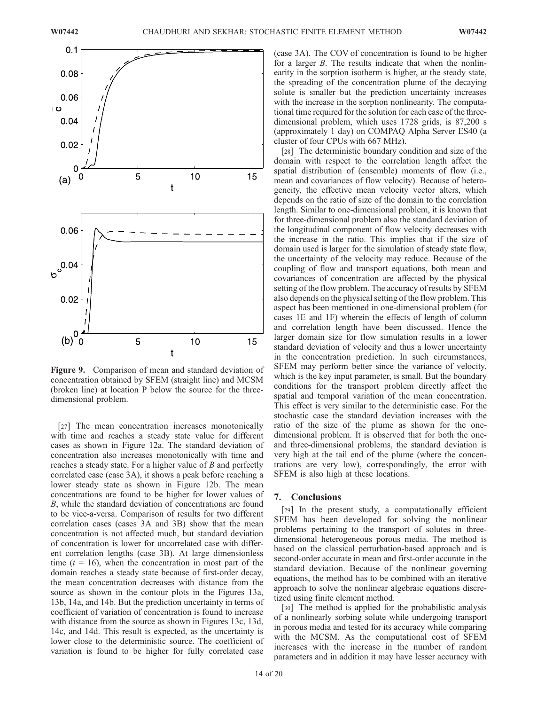

Figure 9. Comparison of mean and standard deviation of concentration obtained by SFEM (straight line) and MCSM (broken line) at location P below the source for the threedimensional problem.

[27] The mean concentration increases monotonically with time and reaches a steady state value for different cases as shown in Figure 12a. The standard deviation of concentration also increases monotonically with time and reaches a steady state. For a higher value of *B* and perfectly correlated case (case 3A), it shows a peak before reaching a lower steady state as shown in Figure 12b. The mean concentrations are found to be higher for lower values of *B*, while the standard deviation of concentrations are found to be vice-a-versa. Comparison of results for two different correlation cases (cases 3A and 3B) show that the mean concentration is not affected much, but standard deviation of concentration is lower for uncorrelated case with different correlation lengths (case 3B). At large dimensionless time  $(t = 16)$ , when the concentration in most part of the domain reaches a steady state because of first-order decay, the mean concentration decreases with distance from the source as shown in the contour plots in the Figures 13a, 13b, 14a, and 14b. But the prediction uncertainty in terms of coefficient of variation of concentration is found to increase with distance from the source as shown in Figures 13c, 13d, 14c, and 14d. This result is expected, as the uncertainty is lower close to the deterministic source. The coefficient of variation is found to be higher for fully correlated case

(case 3A). The COV of concentration is found to be higher for a larger *B*. The results indicate that when the nonlinearity in the sorption isotherm is higher, at the steady state, the spreading of the concentration plume of the decaying solute is smaller but the prediction uncertainty increases with the increase in the sorption nonlinearity. The computational time required for the solution for each case of the threedimensional problem, which uses 1728 grids, is 87,200 s (approximately 1 day) on COMPAQ Alpha Server ES40 (a cluster of four CPUs with 667 MHz).

[28] The deterministic boundary condition and size of the domain with respect to the correlation length affect the spatial distribution of (ensemble) moments of flow (i.e., mean and covariances of flow velocity). Because of heterogeneity, the effective mean velocity vector alters, which depends on the ratio of size of the domain to the correlation length. Similar to one-dimensional problem, it is known that for three-dimensional problem also the standard deviation of the longitudinal component of flow velocity decreases with the increase in the ratio. This implies that if the size of domain used is larger for the simulation of steady state flow, the uncertainty of the velocity may reduce. Because of the coupling of flow and transport equations, both mean and covariances of concentration are affected by the physical setting of the flow problem. The accuracy of results by SFEM also depends on the physical setting of the flow problem. This aspect has been mentioned in one-dimensional problem (for cases 1E and 1F) wherein the effects of length of column and correlation length have been discussed. Hence the larger domain size for flow simulation results in a lower standard deviation of velocity and thus a lower uncertainty in the concentration prediction. In such circumstances, SFEM may perform better since the variance of velocity, which is the key input parameter, is small. But the boundary conditions for the transport problem directly affect the spatial and temporal variation of the mean concentration. This effect is very similar to the deterministic case. For the stochastic case the standard deviation increases with the ratio of the size of the plume as shown for the onedimensional problem. It is observed that for both the oneand three-dimensional problems, the standard deviation is very high at the tail end of the plume (where the concentrations are very low), correspondingly, the error with SFEM is also high at these locations.

#### 7. Conclusions

[29] In the present study, a computationally efficient SFEM has been developed for solving the nonlinear problems pertaining to the transport of solutes in threedimensional heterogeneous porous media. The method is based on the classical perturbation-based approach and is second-order accurate in mean and first-order accurate in the standard deviation. Because of the nonlinear governing equations, the method has to be combined with an iterative approach to solve the nonlinear algebraic equations discretized using finite element method.

[30] The method is applied for the probabilistic analysis of a nonlinearly sorbing solute while undergoing transport in porous media and tested for its accuracy while comparing with the MCSM. As the computational cost of SFEM increases with the increase in the number of random parameters and in addition it may have lesser accuracy with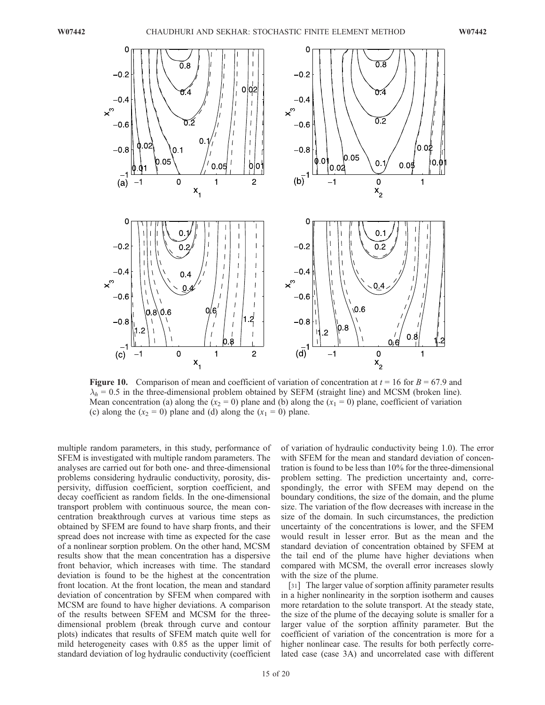

**Figure 10.** Comparison of mean and coefficient of variation of concentration at  $t = 16$  for  $B = 67.9$  and  $\lambda_h$  = 0.5 in the three-dimensional problem obtained by SEFM (straight line) and MCSM (broken line). Mean concentration (a) along the  $(x_2 = 0)$  plane and (b) along the  $(x_1 = 0)$  plane, coefficient of variation (c) along the  $(x_2 = 0)$  plane and (d) along the  $(x_1 = 0)$  plane.

multiple random parameters, in this study, performance of SFEM is investigated with multiple random parameters. The analyses are carried out for both one- and three-dimensional problems considering hydraulic conductivity, porosity, dispersivity, diffusion coefficient, sorption coefficient, and decay coefficient as random fields. In the one-dimensional transport problem with continuous source, the mean concentration breakthrough curves at various time steps as obtained by SFEM are found to have sharp fronts, and their spread does not increase with time as expected for the case of a nonlinear sorption problem. On the other hand, MCSM results show that the mean concentration has a dispersive front behavior, which increases with time. The standard deviation is found to be the highest at the concentration front location. At the front location, the mean and standard deviation of concentration by SFEM when compared with MCSM are found to have higher deviations. A comparison of the results between SFEM and MCSM for the threedimensional problem (break through curve and contour plots) indicates that results of SFEM match quite well for mild heterogeneity cases with 0.85 as the upper limit of standard deviation of log hydraulic conductivity (coefficient

of variation of hydraulic conductivity being 1.0). The error with SFEM for the mean and standard deviation of concentration is found to be less than 10% for the three-dimensional problem setting. The prediction uncertainty and, correspondingly, the error with SFEM may depend on the boundary conditions, the size of the domain, and the plume size. The variation of the flow decreases with increase in the size of the domain. In such circumstances, the prediction uncertainty of the concentrations is lower, and the SFEM would result in lesser error. But as the mean and the standard deviation of concentration obtained by SFEM at the tail end of the plume have higher deviations when compared with MCSM, the overall error increases slowly with the size of the plume.

[31] The larger value of sorption affinity parameter results in a higher nonlinearity in the sorption isotherm and causes more retardation to the solute transport. At the steady state, the size of the plume of the decaying solute is smaller for a larger value of the sorption affinity parameter. But the coefficient of variation of the concentration is more for a higher nonlinear case. The results for both perfectly correlated case (case 3A) and uncorrelated case with different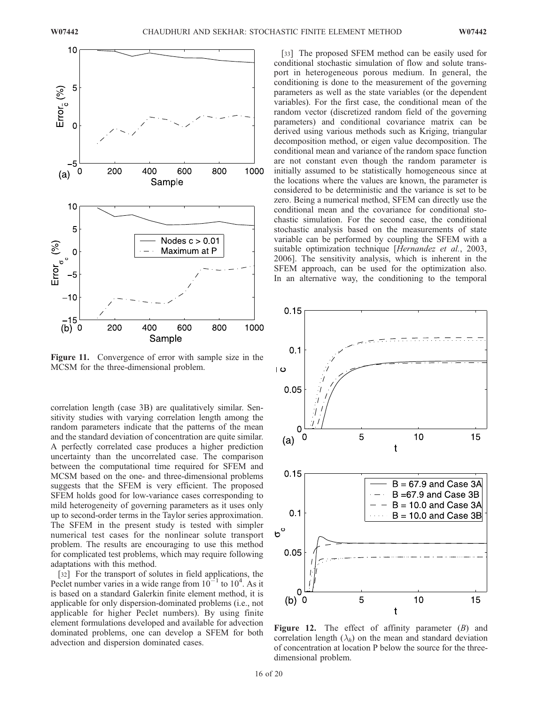

Figure 11. Convergence of error with sample size in the MCSM for the three-dimensional problem.

correlation length (case 3B) are qualitatively similar. Sensitivity studies with varying correlation length among the random parameters indicate that the patterns of the mean and the standard deviation of concentration are quite similar. A perfectly correlated case produces a higher prediction uncertainty than the uncorrelated case. The comparison between the computational time required for SFEM and MCSM based on the one- and three-dimensional problems suggests that the SFEM is very efficient. The proposed SFEM holds good for low-variance cases corresponding to mild heterogeneity of governing parameters as it uses only up to second-order terms in the Taylor series approximation. The SFEM in the present study is tested with simpler numerical test cases for the nonlinear solute transport problem. The results are encouraging to use this method for complicated test problems, which may require following adaptations with this method.

[32] For the transport of solutes in field applications, the Peclet number varies in a wide range from  $10^{-1}$  to  $10^{4}$ . As it is based on a standard Galerkin finite element method, it is applicable for only dispersion-dominated problems (i.e., not applicable for higher Peclet numbers). By using finite element formulations developed and available for advection dominated problems, one can develop a SFEM for both advection and dispersion dominated cases.

[33] The proposed SFEM method can be easily used for conditional stochastic simulation of flow and solute transport in heterogeneous porous medium. In general, the conditioning is done to the measurement of the governing parameters as well as the state variables (or the dependent variables). For the first case, the conditional mean of the random vector (discretized random field of the governing parameters) and conditional covariance matrix can be derived using various methods such as Kriging, triangular decomposition method, or eigen value decomposition. The conditional mean and variance of the random space function are not constant even though the random parameter is initially assumed to be statistically homogeneous since at the locations where the values are known, the parameter is considered to be deterministic and the variance is set to be zero. Being a numerical method, SFEM can directly use the conditional mean and the covariance for conditional stochastic simulation. For the second case, the conditional stochastic analysis based on the measurements of state variable can be performed by coupling the SFEM with a suitable optimization technique [*Hernandez et al.*, 2003, 2006]. The sensitivity analysis, which is inherent in the SFEM approach, can be used for the optimization also. In an alternative way, the conditioning to the temporal



Figure 12. The effect of affinity parameter (*B*) and correlation length  $(\lambda_h)$  on the mean and standard deviation of concentration at location P below the source for the threedimensional problem.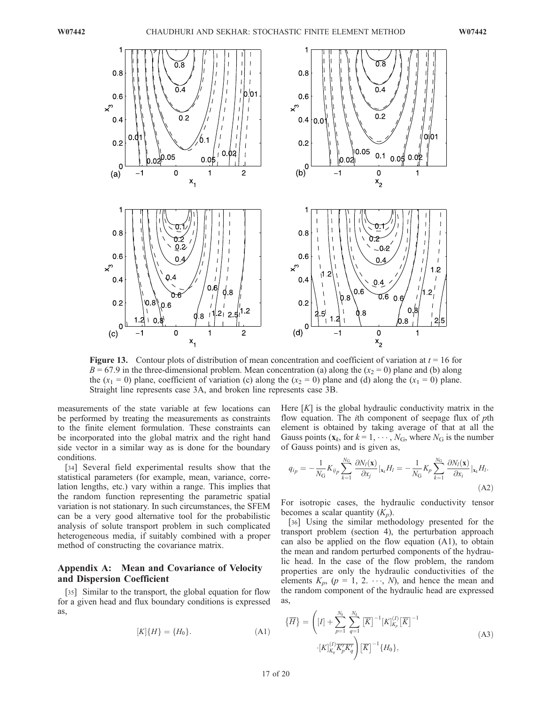

Figure 13. Contour plots of distribution of mean concentration and coefficient of variation at *t* = 16 for  $B = 67.9$  in the three-dimensional problem. Mean concentration (a) along the  $(x<sub>2</sub> = 0)$  plane and (b) along the  $(x_1 = 0)$  plane, coefficient of variation (c) along the  $(x_2 = 0)$  plane and (d) along the  $(x_1 = 0)$  plane. Straight line represents case 3A, and broken line represents case 3B.

measurements of the state variable at few locations can be performed by treating the measurements as constraints to the finite element formulation. These constraints can be incorporated into the global matrix and the right hand side vector in a similar way as is done for the boundary conditions.

[34] Several field experimental results show that the statistical parameters (for example, mean, variance, correlation lengths, etc.) vary within a range. This implies that the random function representing the parametric spatial variation is not stationary. In such circumstances, the SFEM can be a very good alternative tool for the probabilistic analysis of solute transport problem in such complicated heterogeneous media, if suitably combined with a proper method of constructing the covariance matrix.

# Appendix A: Mean and Covariance of Velocity and Dispersion Coefficient

[35] Similar to the transport, the global equation for flow for a given head and flux boundary conditions is expressed as,

$$
[K]\{H\} = \{H_0\}.
$$
 (A1)

Here [*K*] is the global hydraulic conductivity matrix in the flow equation. The *i*th component of seepage flux of *p*th element is obtained by taking average of that at all the Gauss points ( $\mathbf{x}_k$ , for  $k = 1, \dots, N_G$ , where  $N_G$  is the number of Gauss points) and is given as,

$$
q_{ip} = -\frac{1}{N_{\rm G}} K_{ij_p} \sum_{k=1}^{N_{\rm G}} \frac{\partial N_l(\mathbf{x})}{\partial x_j} |_{\mathbf{x}_k} H_l = -\frac{1}{N_{\rm G}} K_p \sum_{k=1}^{N_{\rm G}} \frac{\partial N_l(\mathbf{x})}{\partial x_i} |_{\mathbf{x}_k} H_l.
$$
\n(A2)

For isotropic cases, the hydraulic conductivity tensor becomes a scalar quantity  $(K_p)$ .

[36] Using the similar methodology presented for the transport problem (section 4), the perturbation approach can also be applied on the flow equation (A1), to obtain the mean and random perturbed components of the hydraulic head. In the case of the flow problem, the random properties are only the hydraulic conductivities of the elements  $K_p$ ,  $(p = 1, 2, \dots, N)$ , and hence the mean and the random component of the hydraulic head are expressed as,

$$
\{\overline{H}\} = \left( [I] + \sum_{p=1}^{N_k} \sum_{q=1}^{N_k} \left[ \overline{K} \right]^{-1} [K]_{K_p}^{(I)} \left[ \overline{K} \right]^{-1} \right)
$$
\n
$$
\cdot [K]_{K_q}^{(I)} \overline{K_p} \overline{K_q} \right) \left[ \overline{K} \right]^{-1} \{ H_0 \},
$$
\n(A3)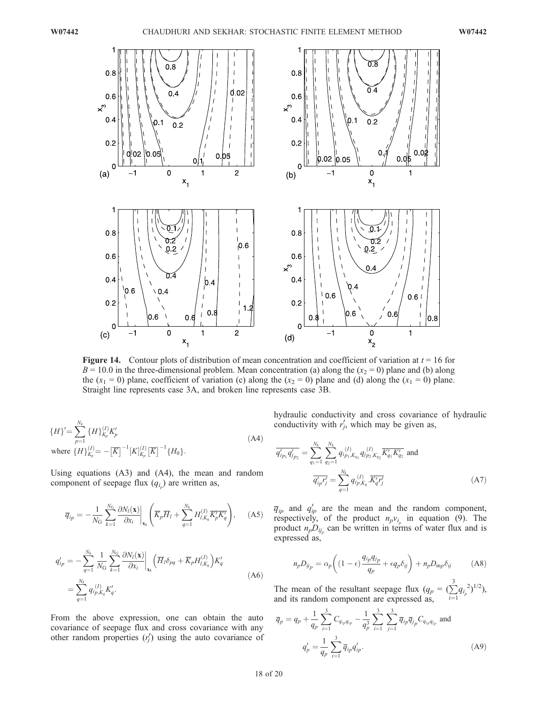

Figure 14. Contour plots of distribution of mean concentration and coefficient of variation at *t* = 16 for  $B = 10.0$  in the three-dimensional problem. Mean concentration (a) along the ( $x_2 = 0$ ) plane and (b) along the  $(x_1 = 0)$  plane, coefficient of variation (c) along the  $(x_2 = 0)$  plane and (d) along the  $(x_1 = 0)$  plane. Straight line represents case 3A, and broken line represents case 3B.

$$
\{H\}' = \sum_{p=1}^{N_k} \{H\}_{K_p}^{(I)} K_p'
$$
  
where  $\{H\}_{K_p}^{(I)} = -[\overline{K}]^{-1} [K]_{K_p}^{(I)} [\overline{K}]^{-1} \{H_0\}.$  (A4)

Using equations (A3) and (A4), the mean and random component of seepage flux  $(q_{i_p})$  are written as,

$$
\overline{q}_{ip} = -\frac{1}{N_{\rm G}} \sum_{k=1}^{N_{\rm G}} \frac{\partial N_l(\mathbf{x})}{\partial x_i} \bigg|_{\mathbf{x}_k} \left( \overline{K}_p \overline{H}_l + \sum_{q=1}^{N_k} H_{l,K_q}^{(1)} \overline{K}_p^{\prime} \overline{K}_q^{\prime} \right), \quad \text{(A5)}
$$

$$
q'_{ip} = -\sum_{q=1}^{N_k} \frac{1}{N_G} \sum_{k=1}^{N_G} \frac{\partial N_I(\mathbf{x})}{\partial x_i} \Big|_{\mathbf{x}_k} \left( \overline{H}_l \delta_{pq} + \overline{K}_p H_{l,K_q}^{(I)} \right) K'_q
$$
  
= 
$$
\sum_{q=1}^{N_k} q_{ip,K_q}^{(I)} K'_q.
$$
 (A6)

From the above expression, one can obtain the auto covariance of seepage flux and cross covariance with any other random properties  $(r'_j)$  using the auto covariance of

hydraulic conductivity and cross covariance of hydraulic conductivity with  $r'_j$ , which may be given as,

$$
\overline{q'_{ip_1}q'_{j_{p_2}}} = \sum_{q_1=1}^{N_k} \sum_{q_2=1}^{N_k} q_{ip_1,K_{q_1}}^{(I)} q_{jp_2,K_{q_2}}^{(I)} \overline{K'_{q_1}K'_{q_2}}
$$
 and  

$$
\overline{q'_{ip}r'_{j}} = \sum_{q=1}^{N_k} q_{ip,K_q}^{(I)} \overline{K'_{q}r'_{j}}
$$
 (A7)

 $\overline{q}_{ip}$  and  $q'_{ip}$  are the mean and the random component, respectively, of the product  $n_p v_{i_p}$  in equation (9). The product  $n_p D_{ij_p}$  can be written in terms of water flux and is expressed as,

$$
n_p D_{ij_p} = \alpha_p \left( (1 - \epsilon) \frac{q_{ip} q_{jp}}{q_p} + \epsilon q_p \delta_{ij} \right) + n_p D_{mp} \delta_{ij}
$$
 (A8)

The mean of the resultant seepage flux  $(q_p = (\sum_{i=1}^{3} q_i^2 + q_i^2))$  $\sum_{i=1}^{5} q_{i_p}^{2}$ <sup>1/2</sup>), and its random component are expressed as,

$$
\overline{q}_p = q_p + \frac{1}{q_p} \sum_{i=1}^3 C_{q_{ip}q_{ip}} - \frac{1}{q_p^3} \sum_{i=1}^3 \sum_{j=1}^3 \overline{q}_{ip} \overline{q}_{j_p} C_{q_{ip}q_{j_p}}
$$
 and  

$$
q'_p = \frac{1}{q_p} \sum_{i=1}^3 \overline{q}_{ip} q'_{ip}.
$$
 (A9)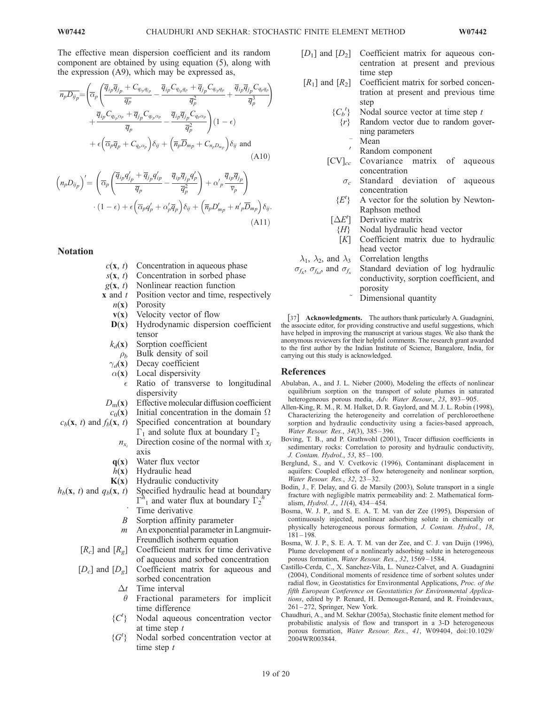The effective mean dispersion coefficient and its random component are obtained by using equation (5), along with the expression (A9), which may be expressed as,

$$
\overline{n_p D_{ij}} = \left( \overline{\alpha}_p \left( \frac{\overline{q}_{ip} \overline{q}_{jp} + C_{q_{ip} q_{jp}}}{\overline{q}_p} - \frac{\overline{q}_{ip} C_{q_{ip} q_p} + \overline{q}_{jp} C_{q_{ip} q_p}}{\overline{q}_p^2} + \frac{\overline{q}_{ip} \overline{q}_{jp} C_{q_{ip} q_p}}{\overline{q}_p^3} \right) + \frac{\overline{q}_{ip} C_{q_{ip} q_p} + \overline{q}_{ip} C_{q_{ip} q_p}}{\overline{q}_p} - \frac{\overline{q}_{ip} \overline{q}_{jp} C_{q_{ip} q_p}}{\overline{q}_p^2} \right) (1 - \epsilon) + \epsilon \left( \overline{\alpha}_p \overline{q}_p + C_{q_p q_p} \right) \delta_{ij} + \left( \overline{n}_p \overline{D}_{m p} + C_{n_p p_{m p}} \right) \delta_{ij}
$$
 and (A10)

$$
\left(n_p D_{ij_p}\right)' = \left(\overline{\alpha}_p \left(\frac{\overline{q}_{ip} q'_{jp} + \overline{q}_{jp} q'_{ip}}{\overline{q}_p} - \frac{\overline{q}_{ip} \overline{q}_{jp} q'_{p}}{\overline{q}_p^2}\right) + \alpha'_p \frac{\overline{q}_{ip} \overline{q}_{jp}}{\overline{v}_p}\right) \cdot (1 - \epsilon) + \epsilon \left(\overline{\alpha}_p q'_p + \alpha'_p \overline{q}_p\right) \delta_{ij} + \left(\overline{n}_p D'_{mp} + n'_p \overline{D}_{mp}\right) \delta_{ij}.
$$
\n(A11)

# Notation

 $c_b$ (**x**, *t*) and  $f_b$ 

- $c(\mathbf{x}, t)$  Concentration in aqueous phase
- *s*(x, *t*) Concentration in sorbed phase
- *g*(x, *t*) Nonlinear reaction function
- x and *t* Position vector and time, respectively *n*(x) Porosity
	- $v(x)$  Velocity vector of flow
	- $D(x)$  Hydrodynamic dispersion coefficient tensor
	- $k_d(\mathbf{x})$ Sorption coefficient
	- $\rho_b$  Bulk density of soil
	- $\gamma_d(\mathbf{x})$  Decay coefficient
	- $\alpha(x)$  Local dispersivity
	- Ratio of transverse to longitudinal dispersivity
- $D_m(x)$  Effective molecular diffusion coefficient
- $c_0(\mathbf{x})$ Initial concentration in the domain  $\Omega$ Specified concentration at boundary
	- $\Gamma_1$  and solute flux at boundary  $\Gamma_2$  $n_{x_i}$  Direction cosine of the normal with  $x_i$ axis
- $q(x)$  Water flux vector
- *h*(x) Hydraulic head
- $K(x)$  Hydraulic conductivity

 $h_b$ (**x**, *t*) and  $q_b$ Specified hydraulic head at boundary  $\Gamma_{1}^{h}$  and water flux at boundary  $\Gamma_{2}^{h}$ Time derivative

- *B* Sorption affinity parameter
- *m* An exponential parameter in Langmuir-Freundlich isotherm equation
- [*R<sup>c</sup>* ] and [*R<sup>g</sup>* ] Coefficient matrix for time derivative of aqueous and sorbed concentration
- [*D<sup>c</sup>* ] and [*D<sup>g</sup>* Coefficient matrix for aqueous and sorbed concentration
	- $\Delta t$  Time interval
	- $\theta$  Fractional parameters for implicit time difference
	- {*C t* } Nodal aqueous concentration vector at time step *t*
	- ${G}^t$ Nodal sorbed concentration vector at time step *t*
- $[D_1]$  and  $[D_2]$  Coefficient matrix for aqueous concentration at present and previous time step
- [*R*1] and [*R*2] Coefficient matrix for sorbed concentration at present and previous time step
	- ${C_b}^t$ } Nodal source vector at time step *t*
		- {*r*} Random vector due to random governing parameters
		- Mean
		- Random component
	- [CV]*cc* Covariance matrix of aqueous concentration
		- $\sigma_c$  Standard deviation of aqueous concentration
		- ${E}^t$ A vector for the solution by Newton-Raphson method
	- $[\Delta E^t]$ Derivative matrix
		- {*H*} Nodal hydraulic head vector
	- [*K*] Coefficient matrix due to hydraulic head vector
- $\lambda_1$ ,  $\lambda_2$ , and  $\lambda_3$  Correlation lengths
- $\sigma_{f_k}$ ,  $\sigma_{f_{kd}}$ , and  $\sigma_{f_n}$ Standard deviation of log hydraulic conductivity, sorption coefficient, and porosity
	- Dimensional quantity

[37] Acknowledgments. The authors thank particularly A. Guadagnini, the associate editor, for providing constructive and useful suggestions, which have helped in improving the manuscript at various stages. We also thank the anonymous reviewers for their helpful comments. The research grant awarded to the first author by the Indian Institute of Science, Bangalore, India, for carrying out this study is acknowledged.

# References

- Abulaban, A., and J. L. Nieber (2000), Modeling the effects of nonlinear equilibrium sorption on the transport of solute plumes in saturated heterogeneous porous media, *Adv. Water Resour.*, *23*, 893 – 905.
- Allen-King, R. M., R. M. Halket, D. R. Gaylord, and M. J. L. Robin (1998), Characterizing the heterogeneity and correlation of perchloroethene sorption and hydraulic conductivity using a facies-based approach, *Water Resour. Res.*, *34*(3), 385 – 396.
- Boving, T. B., and P. Grathwohl (2001), Tracer diffusion coefficients in sedimentary rocks: Correlation to porosity and hydraulic conductivity, *J. Contam. Hydrol.*, *53*, 85 – 100.
- Berglund, S., and V. Cvetkovic (1996), Contaminant displacement in aquifers: Coupled effects of flow heterogeneity and nonlinear sorption, *Water Resour. Res.*, *32*, 23 – 32.
- Bodin, J., F. Delay, and G. de Marsily (2003), Solute transport in a single fracture with negligible matrix permeability and: 2. Mathematical formalism, *Hydrol. J.*, *11*(4), 434 – 454.
- Bosma, W. J. P., and S. E. A. T. M. van der Zee (1995), Dispersion of continuously injected, nonlinear adsorbing solute in chemically or physically heterogeneous porous formation, *J. Contam. Hydrol.*, *18*,  $181 - 198.$
- Bosma, W. J. P., S. E. A. T. M. van der Zee, and C. J. van Duijn (1996), Plume development of a nonlinearly adsorbing solute in heterogeneous porous formation, *Water Resour. Res.*, *32*, 1569 – 1584.
- Castillo-Cerda, C., X. Sanchez-Vila, L. Nunez-Calvet, and A. Guadagnini (2004), Conditional moments of residence time of sorbent solutes under radial flow, in Geostatistics for Environmental Applications, *Proc. of the fifth European Conference on Geostatistics for Environmental Applications*, edited by P. Renard, H. Demouget-Renard, and R. Froindevaux, 261-272, Springer, New York.
- Chaudhuri, A., and M. Sekhar (2005a), Stochastic finite element method for probabilistic analysis of flow and transport in a 3-D heterogeneous porous formation, *Water Resour. Res.*, *41*, W09404, doi:10.1029/ 2004WR003844.